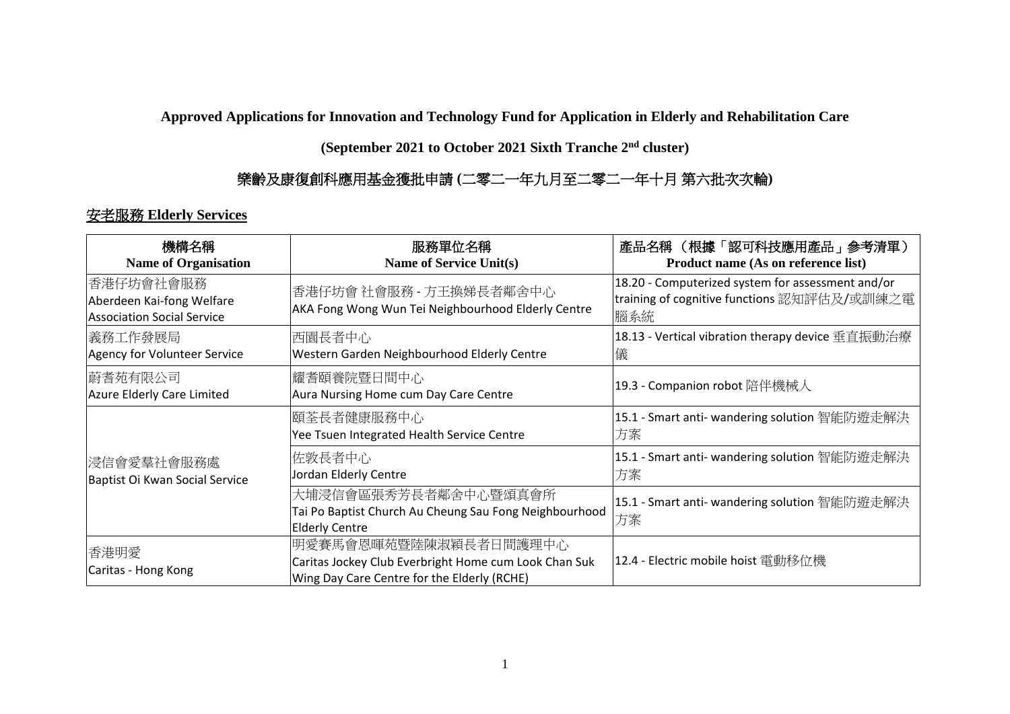**Approved Applications for Innovation and Technology Fund for Application in Elderly and Rehabilitation Care** 

**(September 2021 to October 2021 Sixth Tranche 2 nd cluster)**

## 樂齡及康復創科應用基金獲批申請 **(**二零二一年九月至二零二一年十月 第六批次次輪**)**

## 安老服務 **Elderly Services**

| 機構名稱<br><b>Name of Organisation</b>                                   | 服務單位名稱<br><b>Name of Service Unit(s)</b>                                                                                      | 產品名稱 (根據「認可科技應用產品」参考清單)<br>Product name (As on reference list)                                          |
|-----------------------------------------------------------------------|-------------------------------------------------------------------------------------------------------------------------------|---------------------------------------------------------------------------------------------------------|
| 香港仔坊會社會服務 <br>Aberdeen Kai-fong Welfare<br>Association Social Service | 香港仔坊會 社會服務 - 方王換娣長者鄰舍中心<br>AKA Fong Wong Wun Tei Neighbourhood Elderly Centre                                                 | 18.20 - Computerized system for assessment and/or<br>training of cognitive functions 認知評估及/或訓練之電<br>腦系統 |
| 義務工作發展局 <br>Agency for Volunteer Service                              | 西園長者中心<br>Western Garden Neighbourhood Elderly Centre                                                                         | 18.13 - Vertical vibration therapy device 垂直振動治療<br>儀                                                   |
| 蔚耆苑有限公司<br>Azure Elderly Care Limited                                 | 耀耆頤養院暨日間中心<br>Aura Nursing Home cum Day Care Centre                                                                           | 19.3 - Companion robot 陪伴機械人                                                                            |
| 浸信會愛羣社會服務處<br>Baptist Oi Kwan Social Service                          | 頤荃長者健康服務中心<br>Yee Tsuen Integrated Health Service Centre                                                                      | 15.1 - Smart anti- wandering solution 智能防遊走解決<br>方案                                                     |
|                                                                       | 佐敦長者中心<br>Jordan Elderly Centre                                                                                               | 15.1 - Smart anti- wandering solution 智能防遊走解決<br>方案                                                     |
|                                                                       | 大埔浸信會區張秀芳長者鄰舍中心暨頌真會所<br>Tai Po Baptist Church Au Cheung Sau Fong Neighbourhood<br><b>Elderly Centre</b>                       | 15.1 - Smart anti- wandering solution 智能防遊走解決<br>方案                                                     |
| 香港明愛<br>Caritas - Hong Kong                                           | 明愛賽馬會恩暉苑暨陸陳淑穎長者日間護理中心<br>Caritas Jockey Club Everbright Home cum Look Chan Suk<br>Wing Day Care Centre for the Elderly (RCHE) | 12.4 - Electric mobile hoist 電動移位機                                                                      |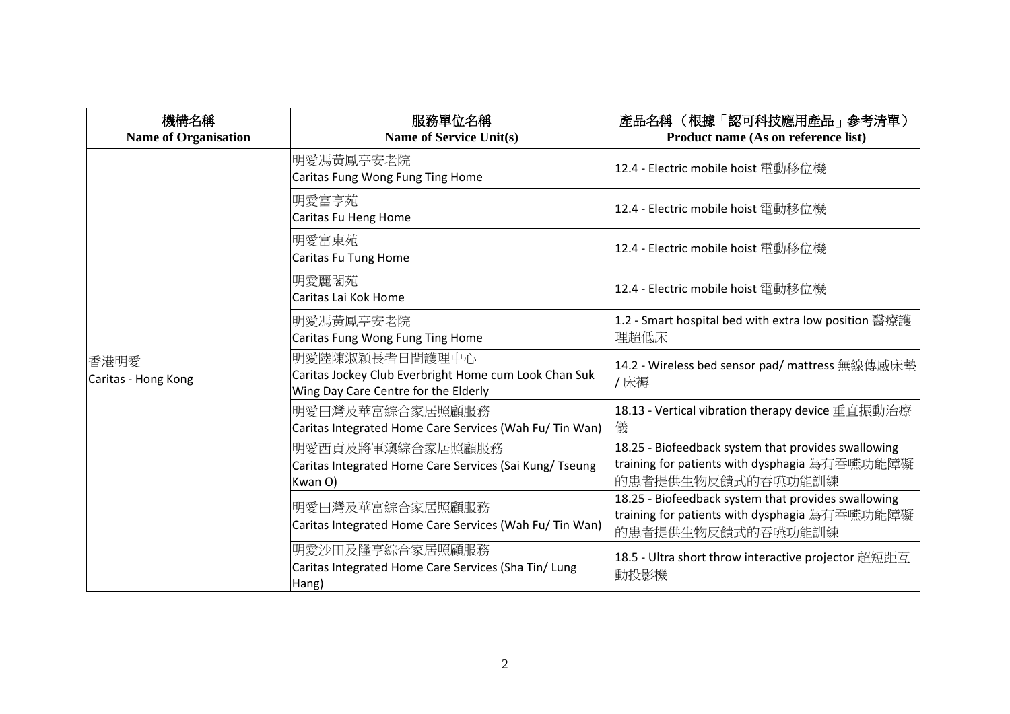| 機構名稱<br><b>Name of Organisation</b> | 服務單位名稱<br><b>Name of Service Unit(s)</b>                                                                        | 產品名稱 (根據「認可科技應用產品」參考清單)<br>Product name (As on reference list)                                                            |
|-------------------------------------|-----------------------------------------------------------------------------------------------------------------|---------------------------------------------------------------------------------------------------------------------------|
|                                     | 明愛馮黃鳳亭安老院 <br>Caritas Fung Wong Fung Ting Home                                                                  | 12.4 - Electric mobile hoist 電動移位機                                                                                        |
|                                     | 明愛富亨苑<br>Caritas Fu Heng Home                                                                                   | 12.4 - Electric mobile hoist 電動移位機                                                                                        |
|                                     | 明愛富東苑<br>Caritas Fu Tung Home                                                                                   | 12.4 - Electric mobile hoist 電動移位機                                                                                        |
| 香港明愛<br>Caritas - Hong Kong         | 明愛麗閣苑<br>Caritas Lai Kok Home                                                                                   | 12.4 - Electric mobile hoist 電動移位機                                                                                        |
|                                     | 明愛馮黃鳳亭安老院 <br>Caritas Fung Wong Fung Ting Home                                                                  | 1.2 - Smart hospital bed with extra low position 醫療護<br>理超低床                                                              |
|                                     | 明愛陸陳淑穎長者日間護理中心<br>Caritas Jockey Club Everbright Home cum Look Chan Suk<br>Wing Day Care Centre for the Elderly | 14.2 - Wireless bed sensor pad/ mattress 無線傳感床墊<br>/床褥                                                                    |
|                                     | 明愛田灣及華富綜合家居照顧服務<br>Caritas Integrated Home Care Services (Wah Fu/ Tin Wan)                                      | 18.13 - Vertical vibration therapy device 垂直振動治療<br>儀                                                                     |
|                                     | 明愛西貢及將軍澳綜合家居照顧服務<br>Caritas Integrated Home Care Services (Sai Kung/ Tseung<br>Kwan O)                          | 18.25 - Biofeedback system that provides swallowing<br>training for patients with dysphagia 為有吞嚥功能障礙<br>的患者提供生物反饋式的吞嚥功能訓練 |
|                                     | 明愛田灣及華富綜合家居照顧服務<br>Caritas Integrated Home Care Services (Wah Fu/Tin Wan)                                       | 18.25 - Biofeedback system that provides swallowing<br>training for patients with dysphagia 為有吞嚥功能障礙<br>的患者提供生物反饋式的吞嚥功能訓練 |
|                                     | 明愛沙田及隆亨綜合家居照顧服務<br>Caritas Integrated Home Care Services (Sha Tin/ Lung<br>Hang)                                | 18.5 - Ultra short throw interactive projector 超短距互<br>動投影機                                                               |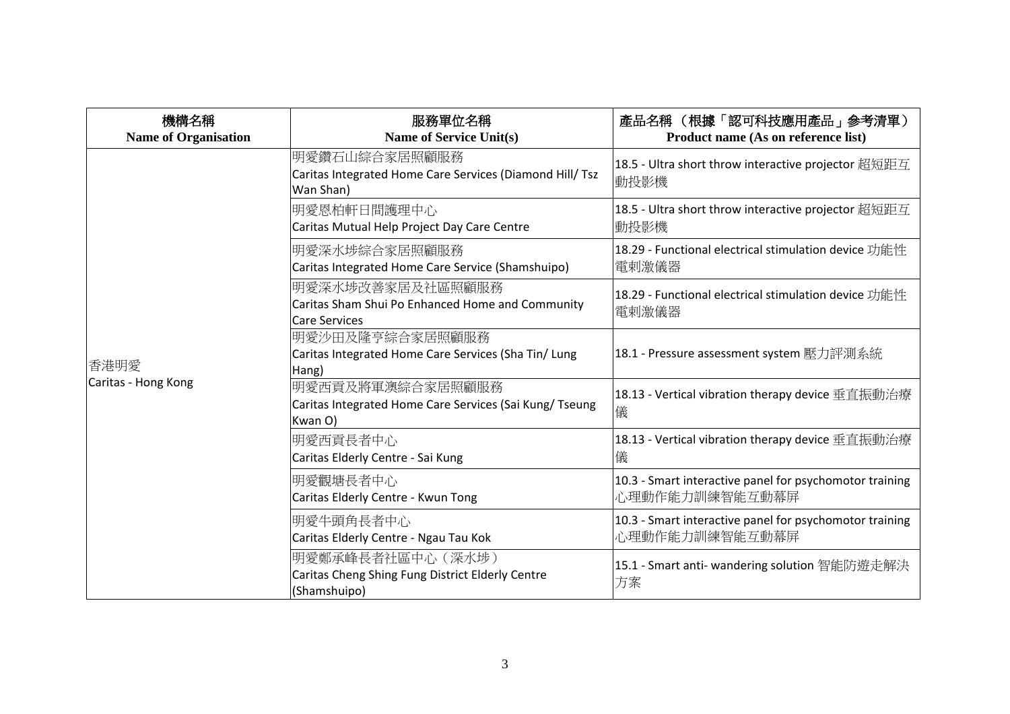| 機構名稱<br><b>Name of Organisation</b> | 服務單位名稱<br><b>Name of Service Unit(s)</b>                                                     | 產品名稱 (根據「認可科技應用產品」參考清單)<br>Product name (As on reference list)            |
|-------------------------------------|----------------------------------------------------------------------------------------------|---------------------------------------------------------------------------|
|                                     | 明愛鑽石山綜合家居照顧服務<br>Caritas Integrated Home Care Services (Diamond Hill/ Tsz<br>Wan Shan)       | 18.5 - Ultra short throw interactive projector 超短距互<br> 動投影機              |
|                                     | 明愛恩柏軒日間護理中心<br>Caritas Mutual Help Project Day Care Centre                                   | 18.5 - Ultra short throw interactive projector 超短距互<br> 動投影機              |
|                                     | 明愛深水埗綜合家居照顧服務<br>Caritas Integrated Home Care Service (Shamshuipo)                           | 18.29 - Functional electrical stimulation device 功能性<br>電剌激儀器             |
| 香港明愛<br>Caritas - Hong Kong         | 明愛深水埗改善家居及社區照顧服務<br>Caritas Sham Shui Po Enhanced Home and Community<br><b>Care Services</b> | 18.29 - Functional electrical stimulation device 功能性<br>電剌激儀器             |
|                                     | 明愛沙田及隆亨綜合家居照顧服務<br>Caritas Integrated Home Care Services (Sha Tin/ Lung<br>Hang)             | 18.1 - Pressure assessment system 壓力評測系統                                  |
|                                     | 明愛西貢及將軍澳綜合家居照顧服務<br>Caritas Integrated Home Care Services (Sai Kung/ Tseung<br>Kwan O)       | 18.13 - Vertical vibration therapy device 垂直振動治療<br>儀                     |
|                                     | 明愛西貢長者中心<br>Caritas Elderly Centre - Sai Kung                                                | 18.13 - Vertical vibration therapy device 垂直振動治療<br>儀                     |
|                                     | 明愛觀塘長者中心<br>Caritas Elderly Centre - Kwun Tong                                               | 10.3 - Smart interactive panel for psychomotor training<br>心理動作能力訓練智能互動幕屏 |
|                                     | 明愛牛頭角長者中心<br>Caritas Elderly Centre - Ngau Tau Kok                                           | 10.3 - Smart interactive panel for psychomotor training<br>心理動作能力訓練智能互動幕屏 |
|                                     | 明愛鄭承峰長者社區中心(深水埗)<br>Caritas Cheng Shing Fung District Elderly Centre<br>(Shamshuipo)         | 15.1 - Smart anti- wandering solution 智能防遊走解決<br>方案                       |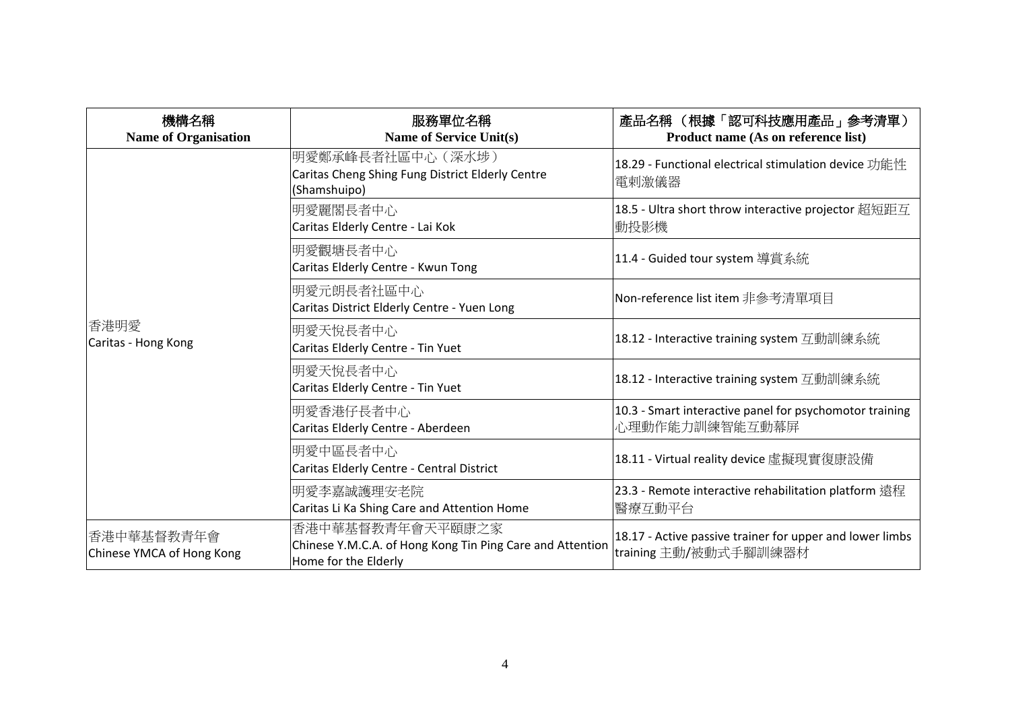| 機構名稱<br><b>Name of Organisation</b>     | 服務單位名稱<br><b>Name of Service Unit(s)</b>                                                              | 產品名稱 (根據「認可科技應用產品」參考清單)<br>Product name (As on reference list)                    |
|-----------------------------------------|-------------------------------------------------------------------------------------------------------|-----------------------------------------------------------------------------------|
|                                         | 明愛鄭承峰長者社區中心(深水埗)<br>Caritas Cheng Shing Fung District Elderly Centre<br>(Shamshuipo)                  | 18.29 - Functional electrical stimulation device 功能性<br>電剌激儀器                     |
|                                         | 明愛麗閣長者中心<br>Caritas Elderly Centre - Lai Kok                                                          | 18.5 - Ultra short throw interactive projector 超短距互<br> 動投影機                      |
|                                         | 明愛觀塘長者中心<br>Caritas Elderly Centre - Kwun Tong                                                        | 11.4 - Guided tour system 導賞系統                                                    |
|                                         | 明愛元朗長者社區中心<br>Caritas District Elderly Centre - Yuen Long                                             | Non-reference list item 非參考清單項目                                                   |
| 香港明愛<br>Caritas - Hong Kong             | 明愛天悅長者中心<br>Caritas Elderly Centre - Tin Yuet                                                         | 18.12 - Interactive training system 互動訓練系統                                        |
|                                         | 明愛天悅長者中心<br>Caritas Elderly Centre - Tin Yuet                                                         | 18.12 - Interactive training system 互動訓練系統                                        |
|                                         | 明愛香港仔長者中心<br>Caritas Elderly Centre - Aberdeen                                                        | 10.3 - Smart interactive panel for psychomotor training<br>心理動作能力訓練智能互動幕屏         |
|                                         | 明愛中區長者中心<br>Caritas Elderly Centre - Central District                                                 | 18.11 - Virtual reality device 虛擬現實復康設備                                           |
|                                         | 明愛李嘉誠護理安老院<br>Caritas Li Ka Shing Care and Attention Home                                             | 23.3 - Remote interactive rehabilitation platform 遠程<br>醫療互動平台                    |
| 香港中華基督教青年會<br>Chinese YMCA of Hong Kong | 香港中華基督教青年會天平頤康之家<br>Chinese Y.M.C.A. of Hong Kong Tin Ping Care and Attention<br>Home for the Elderly | 18.17 - Active passive trainer for upper and lower limbs<br>training 主動/被動式手腳訓練器材 |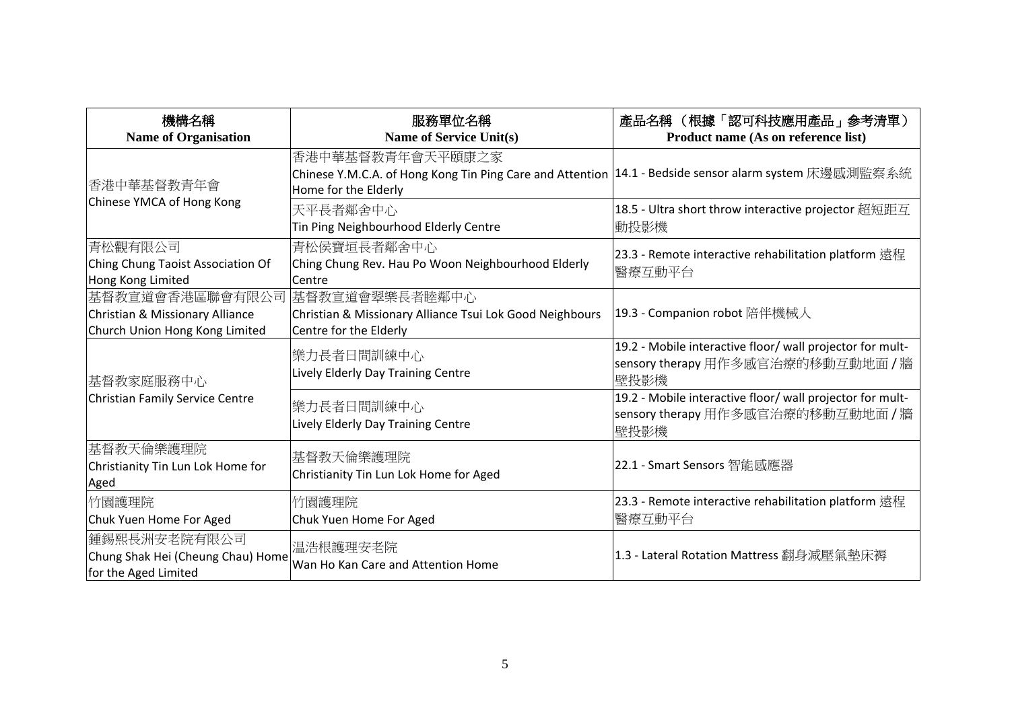| 機構名稱<br><b>Name of Organisation</b>                                                                 | 服務單位名稱<br><b>Name of Service Unit(s)</b>                                                                                                            | 產品名稱 (根據「認可科技應用產品」參考清單)<br>Product name (As on reference list)                                          |
|-----------------------------------------------------------------------------------------------------|-----------------------------------------------------------------------------------------------------------------------------------------------------|---------------------------------------------------------------------------------------------------------|
| 香港中華基督教青年會<br>Chinese YMCA of Hong Kong                                                             | 香港中華基督教青年會天平頤康之家<br> Chinese Y.M.C.A. of Hong Kong Tin Ping Care and Attention  14.1 - Bedside sensor alarm system 床邊感測監察系統<br>Home for the Elderly |                                                                                                         |
|                                                                                                     | 天平長者鄰舍中心<br>Tin Ping Neighbourhood Elderly Centre                                                                                                   | 18.5 - Ultra short throw interactive projector 超短距互<br>動投影機                                             |
| 青松觀有限公司<br>Ching Chung Taoist Association Of<br>Hong Kong Limited                                   | 青松侯寶垣長者鄰舍中心<br>Ching Chung Rev. Hau Po Woon Neighbourhood Elderly<br>Centre                                                                         | 23.3 - Remote interactive rehabilitation platform 遠程<br>醫療互動平台                                          |
| 基督教宣道會香港區聯會有限公司 基督教宣道會翠樂長者睦鄰中心<br>Christian & Missionary Alliance<br>Church Union Hong Kong Limited | Christian & Missionary Alliance Tsui Lok Good Neighbours<br>Centre for the Elderly                                                                  | 19.3 - Companion robot 陪伴機械人                                                                            |
| 基督教家庭服務中心<br>Christian Family Service Centre                                                        | 樂力長者日間訓練中心<br>Lively Elderly Day Training Centre                                                                                                    | 19.2 - Mobile interactive floor/ wall projector for mult-<br>sensory therapy 用作多感官治療的移動互動地面 / 牆<br>壁投影機 |
|                                                                                                     | 樂力長者日間訓練中心<br>Lively Elderly Day Training Centre                                                                                                    | 19.2 - Mobile interactive floor/ wall projector for mult-<br>sensory therapy 用作多感官治療的移動互動地面 / 牆<br>壁投影機 |
| 基督教天倫樂護理院<br>Christianity Tin Lun Lok Home for<br>Aged                                              | 基督教天倫樂護理院<br>Christianity Tin Lun Lok Home for Aged                                                                                                 | 22.1 - Smart Sensors 智能感應器                                                                              |
| 竹園護理院<br>Chuk Yuen Home For Aged                                                                    | 竹園護理院<br>Chuk Yuen Home For Aged                                                                                                                    | 23.3 - Remote interactive rehabilitation platform 遠程<br>醫療互動平台                                          |
| 鍾錫熙長洲安老院有限公司<br>Chung Shak Hei (Cheung Chau) Home<br>for the Aged Limited                           | 温浩根護理安老院<br>Wan Ho Kan Care and Attention Home                                                                                                      | 1.3 - Lateral Rotation Mattress 翻身減壓氣墊床褥                                                                |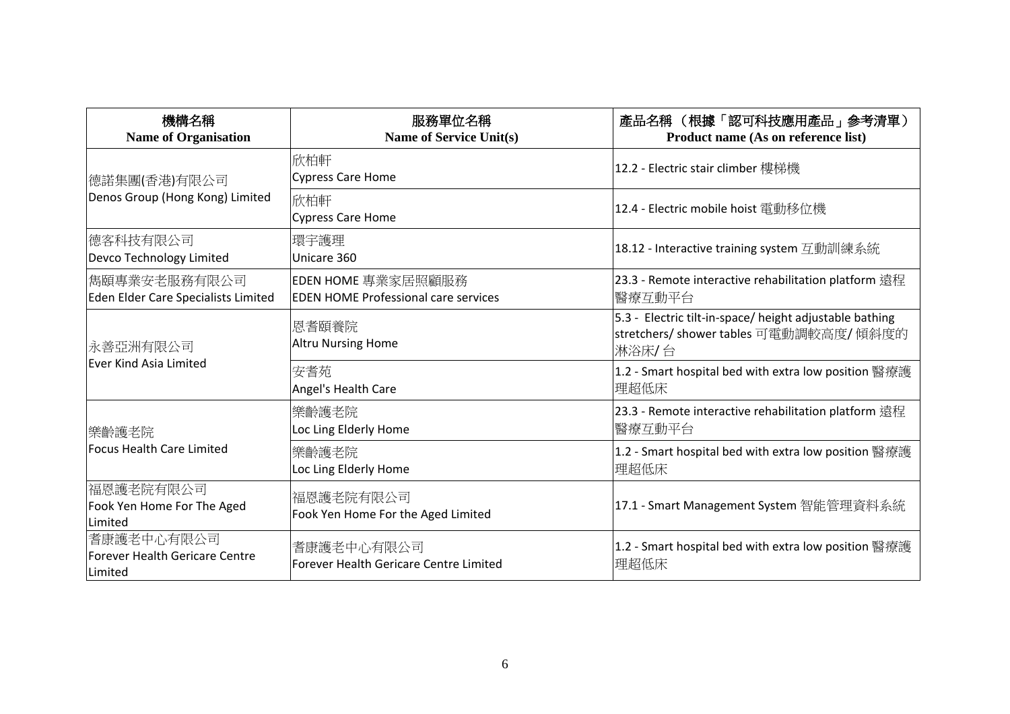| 機構名稱<br><b>Name of Organisation</b>                            | 服務單位名稱<br><b>Name of Service Unit(s)</b>                          | 產品名稱 (根據「認可科技應用產品」參考清單)<br>Product name (As on reference list)                                               |
|----------------------------------------------------------------|-------------------------------------------------------------------|--------------------------------------------------------------------------------------------------------------|
| 德諾集團(香港)有限公司                                                   | 欣柏軒<br>Cypress Care Home                                          | 12.2 - Electric stair climber 樓梯機                                                                            |
| Denos Group (Hong Kong) Limited                                | 欣柏軒<br>Cypress Care Home                                          | 12.4 - Electric mobile hoist 電動移位機                                                                           |
| 德客科技有限公司<br>Devco Technology Limited                           | 環宇護理<br>Unicare 360                                               | 18.12 - Interactive training system 互動訓練系統                                                                   |
| 雋頤專業安老服務有限公司<br>Eden Elder Care Specialists Limited            | EDEN HOME 專業家居照顧服務<br><b>EDEN HOME Professional care services</b> | 23.3 - Remote interactive rehabilitation platform 遠程<br>醫療互動平台                                               |
| 永善亞洲有限公司<br><b>Ever Kind Asia Limited</b>                      | 恩耆頤養院<br><b>Altru Nursing Home</b>                                | 5.3 - Electric tilt-in-space/ height adjustable bathing<br> stretchers/ shower tables 可電動調較高度/ 傾斜度的<br>淋浴床/台 |
|                                                                | 安耆苑<br>Angel's Health Care                                        | 1.2 - Smart hospital bed with extra low position 醫療護<br>理超低床                                                 |
| 樂齡護老院                                                          | 樂齡護老院<br>Loc Ling Elderly Home                                    | 23.3 - Remote interactive rehabilitation platform 遠程<br>醫療互動平台                                               |
| <b>Focus Health Care Limited</b>                               | 樂齡護老院<br>Loc Ling Elderly Home                                    | 1.2 - Smart hospital bed with extra low position 醫療護<br>理超低床                                                 |
| 福恩護老院有限公司<br>Fook Yen Home For The Aged<br>Limited             | 福恩護老院有限公司<br>Fook Yen Home For the Aged Limited                   | 17.1 - Smart Management System 智能管理資料系統                                                                      |
| 耆康護老中心有限公司<br><b>Forever Health Gericare Centre</b><br>Limited | 耆康護老中心有限公司<br>Forever Health Gericare Centre Limited              | 1.2 - Smart hospital bed with extra low position 醫療護<br>理超低床                                                 |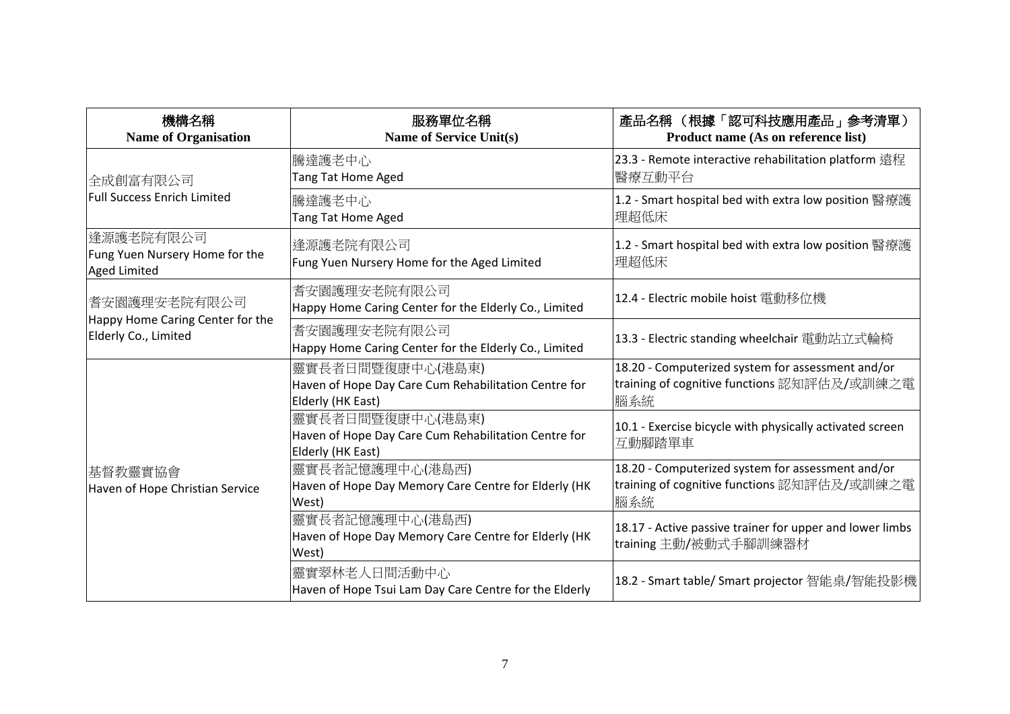| 機構名稱<br><b>Name of Organisation</b>                                      | 服務單位名稱<br><b>Name of Service Unit(s)</b>                                                      | 產品名稱 (根據「認可科技應用產品」參考清單)<br>Product name (As on reference list)                                          |
|--------------------------------------------------------------------------|-----------------------------------------------------------------------------------------------|---------------------------------------------------------------------------------------------------------|
| 全成創富有限公司<br><b>Full Success Enrich Limited</b>                           | 騰達護老中心<br><b>Tang Tat Home Aged</b>                                                           | 23.3 - Remote interactive rehabilitation platform 遠程<br>醫療互動平台                                          |
|                                                                          | 騰達護老中心<br>Tang Tat Home Aged                                                                  | 1.2 - Smart hospital bed with extra low position 醫療護<br>理超低床                                            |
| 逢源護老院有限公司<br>Fung Yuen Nursery Home for the<br><b>Aged Limited</b>       | 逢源護老院有限公司<br>Fung Yuen Nursery Home for the Aged Limited                                      | 1.2 - Smart hospital bed with extra low position 醫療護<br>理超低床                                            |
| 耆安園護理安老院有限公司<br>Happy Home Caring Center for the<br>Elderly Co., Limited | 耆安園護理安老院有限公司<br>Happy Home Caring Center for the Elderly Co., Limited                         | 12.4 - Electric mobile hoist 電動移位機                                                                      |
|                                                                          | 耆安園護理安老院有限公司<br>Happy Home Caring Center for the Elderly Co., Limited                         | 13.3 - Electric standing wheelchair 電動站立式輪椅                                                             |
| 基督教靈實協會<br>Haven of Hope Christian Service                               | 靈實長者日間暨復康中心(港島東)<br>Haven of Hope Day Care Cum Rehabilitation Centre for<br>Elderly (HK East) | 18.20 - Computerized system for assessment and/or<br>training of cognitive functions 認知評估及/或訓練之電<br>腦系統 |
|                                                                          | 靈實長者日間暨復康中心(港島東)<br>Haven of Hope Day Care Cum Rehabilitation Centre for<br>Elderly (HK East) | 10.1 - Exercise bicycle with physically activated screen<br>互動腳踏單車                                      |
|                                                                          | 靈實長者記憶護理中心(港島西)<br>Haven of Hope Day Memory Care Centre for Elderly (HK<br>West)              | 18.20 - Computerized system for assessment and/or<br>training of cognitive functions 認知評估及/或訓練之電<br>腦系統 |
|                                                                          | 靈實長者記憶護理中心(港島西)<br>Haven of Hope Day Memory Care Centre for Elderly (HK<br>West)              | 18.17 - Active passive trainer for upper and lower limbs<br>training 主動/被動式手腳訓練器材                       |
|                                                                          | 靈實翠林老人日間活動中心<br>Haven of Hope Tsui Lam Day Care Centre for the Elderly                        | 18.2 - Smart table/ Smart projector 智能桌/智能投影機                                                           |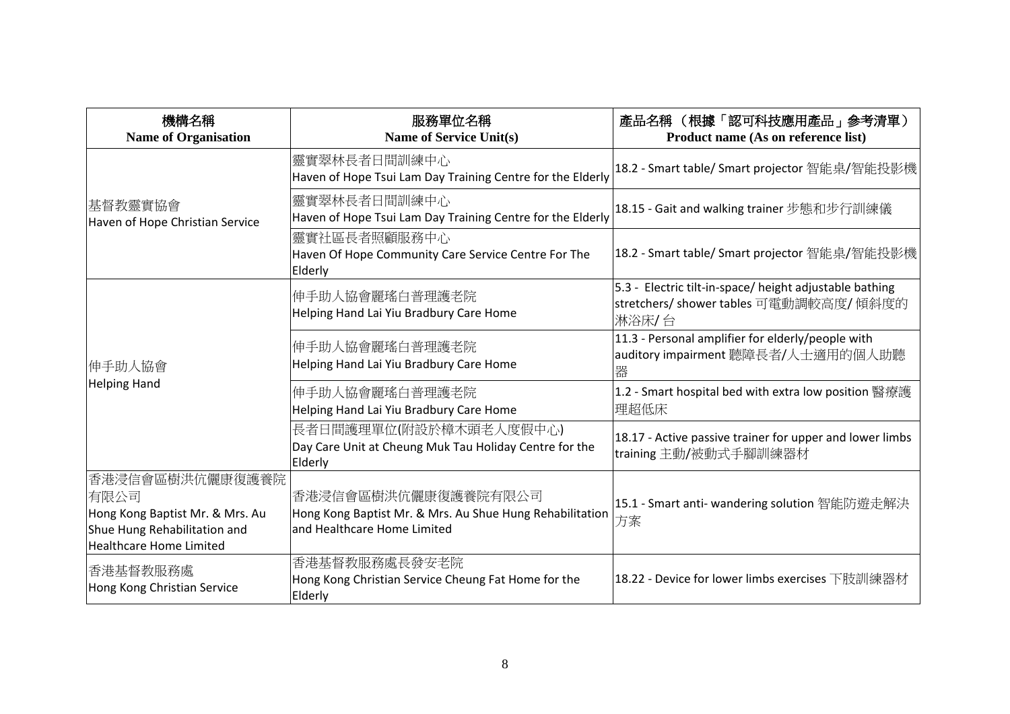| 機構名稱<br><b>Name of Organisation</b>                                                                                          | 服務單位名稱<br><b>Name of Service Unit(s)</b>                                                                       | 產品名稱 (根據「認可科技應用產品」參考清單)<br>Product name (As on reference list)                                                |
|------------------------------------------------------------------------------------------------------------------------------|----------------------------------------------------------------------------------------------------------------|---------------------------------------------------------------------------------------------------------------|
| 基督教靈實協會<br>Haven of Hope Christian Service                                                                                   | 靈實翠林長者日間訓練中心<br>Haven of Hope Tsui Lam Day Training Centre for the Elderly                                     | 18.2 - Smart table/ Smart projector 智能桌/智能投影機                                                                 |
|                                                                                                                              | 靈實翠林長者日間訓練中心<br>Haven of Hope Tsui Lam Day Training Centre for the Elderly                                     | 18.15 - Gait and walking trainer 步態和步行訓練儀                                                                     |
|                                                                                                                              | 靈實社區長者照顧服務中心<br>Haven Of Hope Community Care Service Centre For The<br>Elderly                                 | 18.2 - Smart table/ Smart projector 智能桌/智能投影機                                                                 |
| 伸手助人協會<br><b>Helping Hand</b>                                                                                                | 伸手助人協會麗瑤白普理護老院<br>Helping Hand Lai Yiu Bradbury Care Home                                                      | 5.3 - Electric tilt-in-space/ height adjustable bathing<br> stretchers/ shower tables 可電動調較高度/ 傾斜度的<br> 淋浴床/台 |
|                                                                                                                              | 伸手助人協會麗瑤白普理護老院<br>Helping Hand Lai Yiu Bradbury Care Home                                                      | 11.3 - Personal amplifier for elderly/people with<br>auditory impairment 聽障長者/人士適用的個人助聽<br>器                  |
|                                                                                                                              | 伸手助人協會麗瑤白普理護老院<br>Helping Hand Lai Yiu Bradbury Care Home                                                      | 1.2 - Smart hospital bed with extra low position 醫療護<br>理超低床                                                  |
|                                                                                                                              | 長者日間護理單位(附設於樟木頭老人度假中心)<br>Day Care Unit at Cheung Muk Tau Holiday Centre for the<br>Elderly                    | 18.17 - Active passive trainer for upper and lower limbs<br>training 主動/被動式手腳訓練器材                             |
| 香港浸信會區樹洪伉儷康復護養院<br>有限公司<br>Hong Kong Baptist Mr. & Mrs. Au<br>Shue Hung Rehabilitation and<br><b>Healthcare Home Limited</b> | 香港浸信會區樹洪伉儷康復護養院有限公司<br>Hong Kong Baptist Mr. & Mrs. Au Shue Hung Rehabilitation<br>and Healthcare Home Limited | 15.1 - Smart anti- wandering solution 智能防遊走解決<br>方案                                                           |
| 香港基督教服務處<br>Hong Kong Christian Service                                                                                      | 香港基督教服務處長發安老院<br>Hong Kong Christian Service Cheung Fat Home for the<br>Elderly                                | 18.22 - Device for lower limbs exercises 下肢訓練器材                                                               |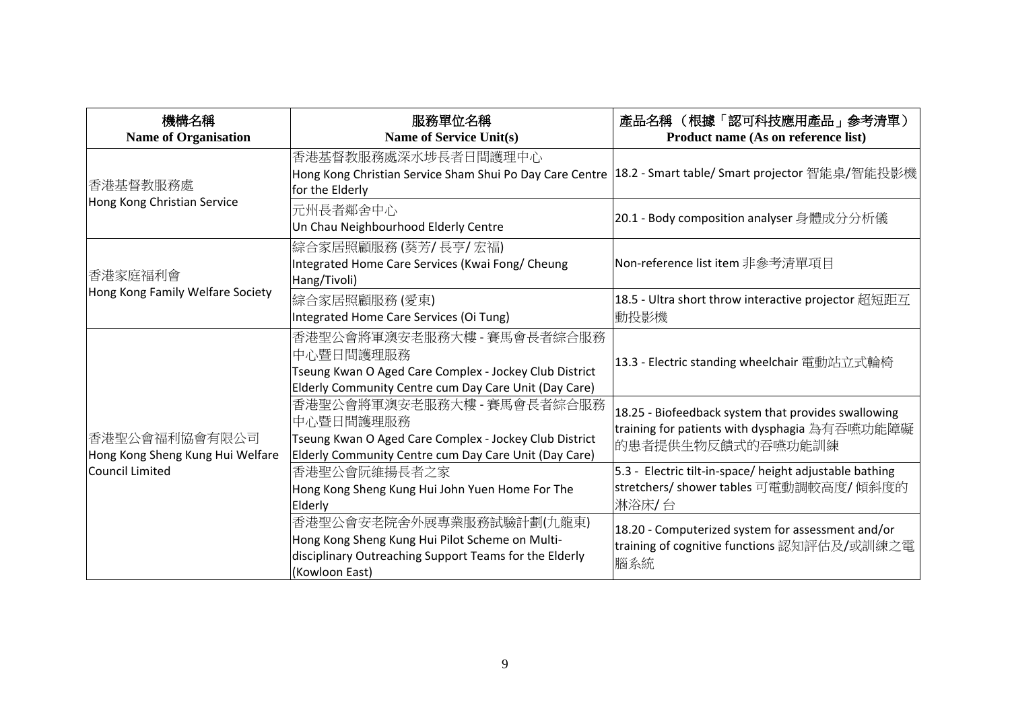| 機構名稱<br><b>Name of Organisation</b>                                  | 服務單位名稱<br><b>Name of Service Unit(s)</b>                                                                                                                   | 產品名稱 (根據「認可科技應用產品」參考清單)<br>Product name (As on reference list)                                                            |
|----------------------------------------------------------------------|------------------------------------------------------------------------------------------------------------------------------------------------------------|---------------------------------------------------------------------------------------------------------------------------|
| 香港基督教服務處                                                             | 香港基督教服務處深水埗長者日間護理中心<br>Hong Kong Christian Service Sham Shui Po Day Care Centre   18.2 - Smart table/ Smart projector 智能桌/智能投影機<br>for the Elderly         |                                                                                                                           |
| Hong Kong Christian Service                                          | 元州長者鄰舍中心<br>Un Chau Neighbourhood Elderly Centre                                                                                                           | 20.1 - Body composition analyser 身體成分分析儀                                                                                  |
| 香港家庭福利會<br>Hong Kong Family Welfare Society                          | 綜合家居照顧服務 (葵芳/ 長亨/ 宏福)<br>Integrated Home Care Services (Kwai Fong/ Cheung<br>Hang/Tivoli)                                                                  | Non-reference list item 非參考清單項目                                                                                           |
|                                                                      | 綜合家居照顧服務(愛東)<br>Integrated Home Care Services (Oi Tung)                                                                                                    | 18.5 - Ultra short throw interactive projector 超短距互<br> 動投影機                                                              |
| 香港聖公會福利協會有限公司<br>Hong Kong Sheng Kung Hui Welfare<br>Council Limited | 香港聖公會將軍澳安老服務大樓 - 賽馬會長者綜合服務<br>中心暨日間護理服務<br>Tseung Kwan O Aged Care Complex - Jockey Club District<br>Elderly Community Centre cum Day Care Unit (Day Care) | 13.3 - Electric standing wheelchair 電動站立式輪椅                                                                               |
|                                                                      | 香港聖公會將軍澳安老服務大樓 - 賽馬會長者綜合服務<br>中心暨日間護理服務<br>Tseung Kwan O Aged Care Complex - Jockey Club District<br>Elderly Community Centre cum Day Care Unit (Day Care) | 18.25 - Biofeedback system that provides swallowing<br>training for patients with dysphagia 為有吞嚥功能障礙<br>的患者提供生物反饋式的吞嚥功能訓練 |
|                                                                      | 香港聖公會阮維揚長者之家<br>Hong Kong Sheng Kung Hui John Yuen Home For The<br>Elderly                                                                                 | 5.3 - Electric tilt-in-space/ height adjustable bathing<br>stretchers/ shower tables 可電動調較高度/傾斜度的<br>淋浴床/台                |
|                                                                      | 香港聖公會安老院舍外展專業服務試驗計劃(九龍東)<br>Hong Kong Sheng Kung Hui Pilot Scheme on Multi-<br>disciplinary Outreaching Support Teams for the Elderly<br>(Kowloon East)    | 18.20 - Computerized system for assessment and/or<br>training of cognitive functions 認知評估及/或訓練之電<br>腦系統                   |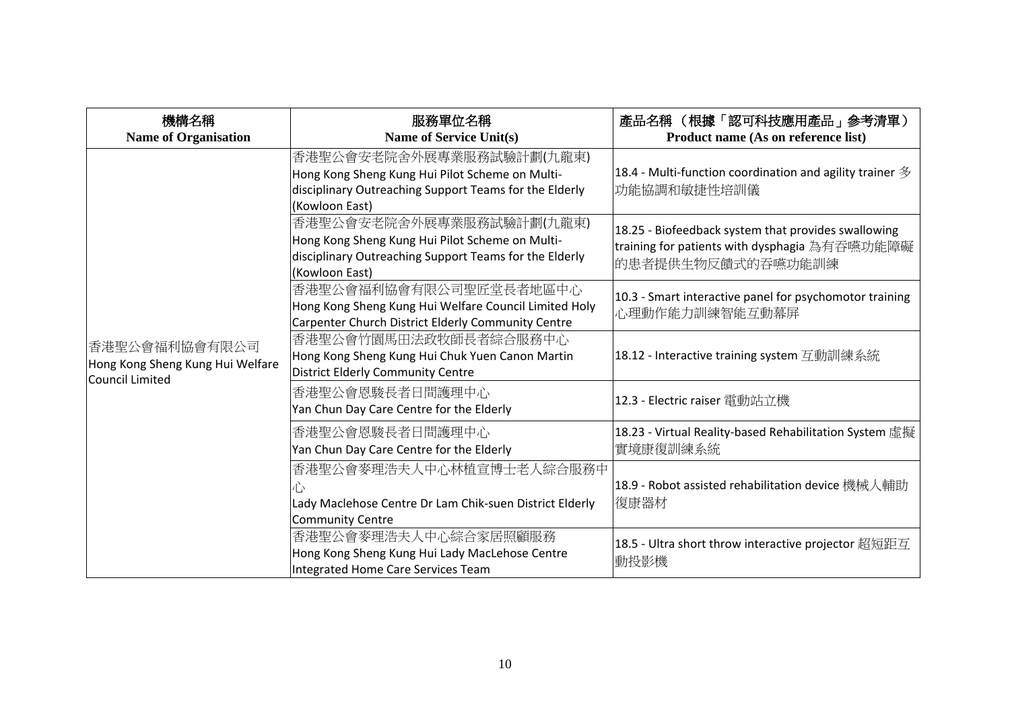| 機構名稱<br><b>Name of Organisation</b>                                  | 服務單位名稱<br><b>Name of Service Unit(s)</b>                                                                                                                | 產品名稱 (根據「認可科技應用產品」參考清單)<br>Product name (As on reference list)                                                            |
|----------------------------------------------------------------------|---------------------------------------------------------------------------------------------------------------------------------------------------------|---------------------------------------------------------------------------------------------------------------------------|
| 香港聖公會福利協會有限公司<br>Hong Kong Sheng Kung Hui Welfare<br>Council Limited | 香港聖公會安老院舍外展專業服務試驗計劃(九龍東)<br>Hong Kong Sheng Kung Hui Pilot Scheme on Multi-<br>disciplinary Outreaching Support Teams for the Elderly<br>(Kowloon East) | 18.4 - Multi-function coordination and agility trainer $\mathscr Y$<br> 功能協調和敏捷性培訓儀                                       |
|                                                                      | 香港聖公會安老院舍外展專業服務試驗計劃(九龍東)<br>Hong Kong Sheng Kung Hui Pilot Scheme on Multi-<br>disciplinary Outreaching Support Teams for the Elderly<br>(Kowloon East) | 18.25 - Biofeedback system that provides swallowing<br>training for patients with dysphagia 為有吞嚥功能障礙<br>的患者提供生物反饋式的吞嚥功能訓練 |
|                                                                      | 香港聖公會福利協會有限公司聖匠堂長者地區中心<br>Hong Kong Sheng Kung Hui Welfare Council Limited Holy<br>Carpenter Church District Elderly Community Centre                   | 10.3 - Smart interactive panel for psychomotor training<br>心理動作能力訓練智能互動幕屏                                                 |
|                                                                      | 香港聖公會竹園馬田法政牧師長者綜合服務中心<br>Hong Kong Sheng Kung Hui Chuk Yuen Canon Martin<br>District Elderly Community Centre                                           | 18.12 - Interactive training system 互動訓練系統                                                                                |
|                                                                      | 香港聖公會恩駿長者日間護理中心<br>Yan Chun Day Care Centre for the Elderly                                                                                             | 12.3 - Electric raiser 電動站立機                                                                                              |
|                                                                      | 香港聖公會恩駿長者日間護理中心<br>Yan Chun Day Care Centre for the Elderly                                                                                             | 18.23 - Virtual Reality-based Rehabilitation System 虛擬<br>實境康復訓練系統                                                        |
|                                                                      | 香港聖公會麥理浩夫人中心林植宣博士老人綜合服務中<br>Lady Maclehose Centre Dr Lam Chik-suen District Elderly<br>Community Centre                                                 | 18.9 - Robot assisted rehabilitation device 機械人輔助<br>復康器材                                                                 |
|                                                                      | 香港聖公會麥理浩夫人中心綜合家居照顧服務<br>Hong Kong Sheng Kung Hui Lady MacLehose Centre<br>Integrated Home Care Services Team                                            | 18.5 - Ultra short throw interactive projector 超短距互<br>動投影機                                                               |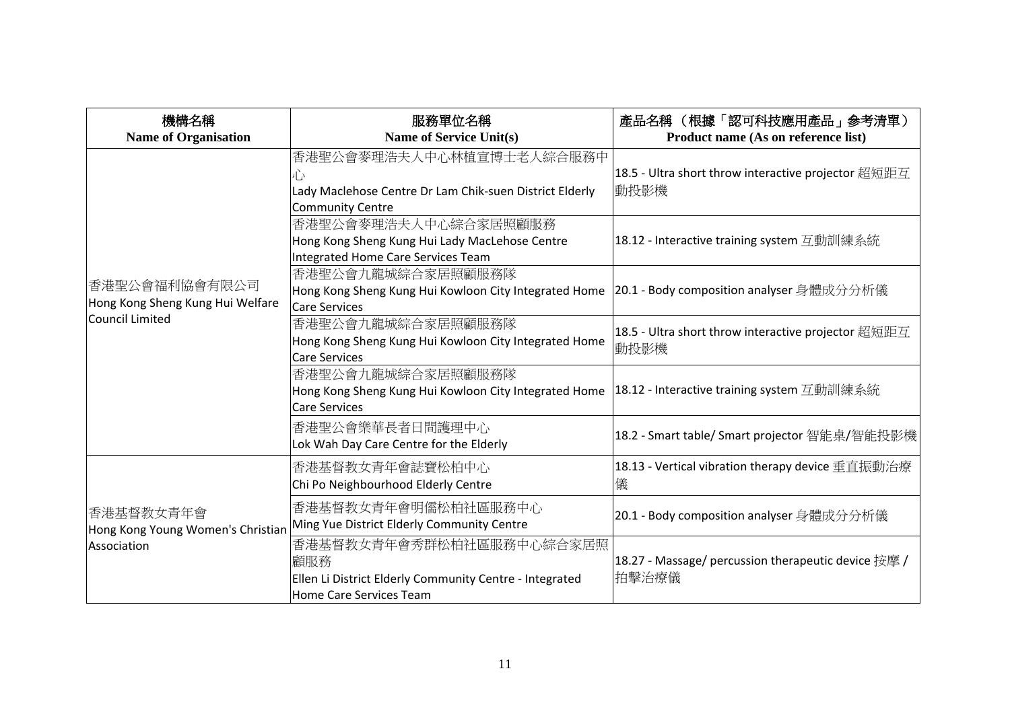| 機構名稱                                                          | 服務單位名稱<br><b>Name of Service Unit(s)</b>                                                                              | 產品名稱 (根據「認可科技應用產品」參考清單)                                      |
|---------------------------------------------------------------|-----------------------------------------------------------------------------------------------------------------------|--------------------------------------------------------------|
| <b>Name of Organisation</b>                                   |                                                                                                                       | Product name (As on reference list)                          |
|                                                               | 香港聖公會麥理浩夫人中心林植宣博士老人綜合服務中<br>Ù٠<br>Lady Maclehose Centre Dr Lam Chik-suen District Elderly<br><b>Community Centre</b>  | 18.5 - Ultra short throw interactive projector 超短距互<br> 動投影機 |
|                                                               | 香港聖公會麥理浩夫人中心綜合家居照顧服務<br>Hong Kong Sheng Kung Hui Lady MacLehose Centre<br><b>Integrated Home Care Services Team</b>   | 18.12 - Interactive training system 互動訓練系統                   |
| 香港聖公會福利協會有限公司<br>Hong Kong Sheng Kung Hui Welfare             | 香港聖公會九龍城綜合家居照顧服務隊<br>Hong Kong Sheng Kung Hui Kowloon City Integrated Home<br><b>Care Services</b>                    | 20.1 - Body composition analyser 身體成分分析儀                     |
| Council Limited                                               | 香港聖公會九龍城綜合家居照顧服務隊<br>Hong Kong Sheng Kung Hui Kowloon City Integrated Home<br><b>Care Services</b>                    | 18.5 - Ultra short throw interactive projector 超短距互<br>動投影機  |
|                                                               | 香港聖公會九龍城綜合家居照顧服務隊<br>Hong Kong Sheng Kung Hui Kowloon City Integrated Home<br><b>Care Services</b>                    | 18.12 - Interactive training system 互動訓練系統                   |
|                                                               | 香港聖公會樂華長者日間護理中心<br>Lok Wah Day Care Centre for the Elderly                                                            | 18.2 - Smart table/ Smart projector 智能桌/智能投影機                |
| 香港基督教女青年會<br>Hong Kong Young Women's Christian<br>Association | 香港基督教女青年會誌寶松柏中心<br>Chi Po Neighbourhood Elderly Centre                                                                | 18.13 - Vertical vibration therapy device 垂直振動治療<br>儀        |
|                                                               | 香港基督教女青年會明儒松柏社區服務中心<br>Ming Yue District Elderly Community Centre                                                     | 20.1 - Body composition analyser 身體成分分析儀                     |
|                                                               | 香港基督教女青年會秀群松柏社區服務中心綜合家居照<br>顧服務<br>Ellen Li District Elderly Community Centre - Integrated<br>Home Care Services Team | 18.27 - Massage/ percussion therapeutic device 按摩 /<br>拍擊治療儀 |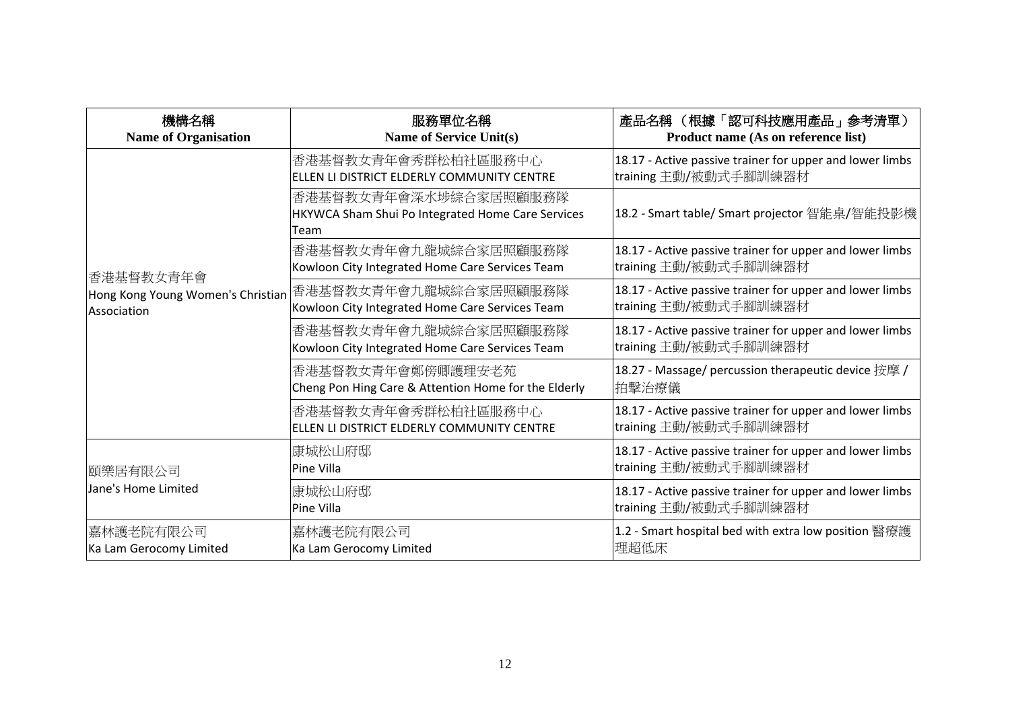| 機構名稱<br><b>Name of Organisation</b>                           | 服務單位名稱<br><b>Name of Service Unit(s)</b>                                           | 產品名稱 (根據「認可科技應用產品」參考清單)<br>Product name (As on reference list)                    |
|---------------------------------------------------------------|------------------------------------------------------------------------------------|-----------------------------------------------------------------------------------|
| 香港基督教女青年會<br>Hong Kong Young Women's Christian<br>Association | 香港基督教女青年會秀群松柏社區服務中心<br>ELLEN LI DISTRICT ELDERLY COMMUNITY CENTRE                  | 18.17 - Active passive trainer for upper and lower limbs<br>training 主動/被動式手腳訓練器材 |
|                                                               | 香港基督教女青年會深水埗綜合家居照顧服務隊<br>HKYWCA Sham Shui Po Integrated Home Care Services<br>Team | 18.2 - Smart table/ Smart projector 智能桌/智能投影機                                     |
|                                                               | 香港基督教女青年會九龍城綜合家居照顧服務隊<br>Kowloon City Integrated Home Care Services Team           | 18.17 - Active passive trainer for upper and lower limbs<br>training 主動/被動式手腳訓練器材 |
|                                                               | 香港基督教女青年會九龍城綜合家居照顧服務隊<br>Kowloon City Integrated Home Care Services Team           | 18.17 - Active passive trainer for upper and lower limbs<br>training 主動/被動式手腳訓練器材 |
|                                                               | 香港基督教女青年會九龍城綜合家居照顧服務隊<br>Kowloon City Integrated Home Care Services Team           | 18.17 - Active passive trainer for upper and lower limbs<br>training 主動/被動式手腳訓練器材 |
|                                                               | 香港基督教女青年會鄭傍卿護理安老苑<br>Cheng Pon Hing Care & Attention Home for the Elderly          | 18.27 - Massage/ percussion therapeutic device 按摩 /<br>拍擊治療儀                      |
|                                                               | 香港基督教女青年會秀群松柏社區服務中心<br>ELLEN LI DISTRICT ELDERLY COMMUNITY CENTRE                  | 18.17 - Active passive trainer for upper and lower limbs<br>training 主動/被動式手腳訓練器材 |
| 頤樂居有限公司<br>Jane's Home Limited                                | 康城松山府邸<br>Pine Villa                                                               | 18.17 - Active passive trainer for upper and lower limbs<br>training 主動/被動式手腳訓練器材 |
|                                                               | 康城松山府邸<br>Pine Villa                                                               | 18.17 - Active passive trainer for upper and lower limbs<br>training 主動/被動式手腳訓練器材 |
| 嘉林護老院有限公司<br>Ka Lam Gerocomy Limited                          | 嘉林護老院有限公司<br>Ka Lam Gerocomy Limited                                               | 1.2 - Smart hospital bed with extra low position 醫療護<br>理超低床                      |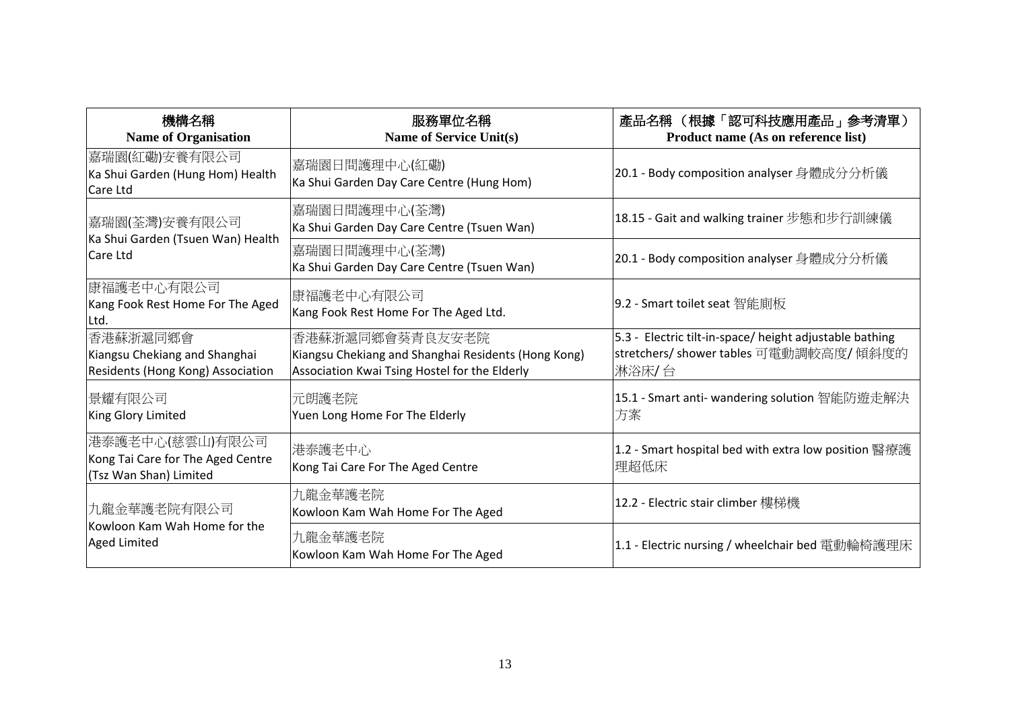| 機構名稱<br><b>Name of Organisation</b>                                             | 服務單位名稱<br><b>Name of Service Unit(s)</b>                                                                                | 產品名稱 (根據「認可科技應用產品」參考清單)<br>Product name (As on reference list)                                              |
|---------------------------------------------------------------------------------|-------------------------------------------------------------------------------------------------------------------------|-------------------------------------------------------------------------------------------------------------|
| 嘉瑞園(紅磡)安養有限公司<br>Ka Shui Garden (Hung Hom) Health<br>Care Ltd                   | 嘉瑞園日間護理中心(紅磡)<br>Ka Shui Garden Day Care Centre (Hung Hom)                                                              | 20.1 - Body composition analyser 身體成分分析儀                                                                    |
| 嘉瑞園(荃灣)安養有限公司                                                                   | 嘉瑞園日間護理中心(荃灣)<br>Ka Shui Garden Day Care Centre (Tsuen Wan)                                                             | 18.15 - Gait and walking trainer 步態和步行訓練儀                                                                   |
| Ka Shui Garden (Tsuen Wan) Health<br>Care Ltd                                   | 嘉瑞園日間護理中心(荃灣)<br>Ka Shui Garden Day Care Centre (Tsuen Wan)                                                             | 20.1 - Body composition analyser 身體成分分析儀                                                                    |
| 康福護老中心有限公司<br>Kang Fook Rest Home For The Aged<br>ILtd.                         | 康福護老中心有限公司<br>Kang Fook Rest Home For The Aged Ltd.                                                                     | 9.2 - Smart toilet seat 智能廁板                                                                                |
| 香港蘇浙滬同鄉會<br>Kiangsu Chekiang and Shanghai<br>Residents (Hong Kong) Association  | 香港蘇浙滬同鄉會葵青良友安老院<br>Kiangsu Chekiang and Shanghai Residents (Hong Kong)<br>Association Kwai Tsing Hostel for the Elderly | 5.3 - Electric tilt-in-space/ height adjustable bathing<br>stretchers/ shower tables 可電動調較高度/ 傾斜度的<br>淋浴床/台 |
| 景耀有限公司<br>King Glory Limited                                                    | 元朗護老院<br>Yuen Long Home For The Elderly                                                                                 | 15.1 - Smart anti- wandering solution 智能防遊走解決<br>方案                                                         |
| 港泰護老中心(慈雲山)有限公司 <br>Kong Tai Care for The Aged Centre<br>(Tsz Wan Shan) Limited | 港泰護老中心<br>Kong Tai Care For The Aged Centre                                                                             | 1.2 - Smart hospital bed with extra low position 醫療護<br>理超低床                                                |
| 九龍金華護老院有限公司<br>Kowloon Kam Wah Home for the<br>Aged Limited                     | 九龍金華護老院<br>Kowloon Kam Wah Home For The Aged                                                                            | 12.2 - Electric stair climber 樓梯機                                                                           |
|                                                                                 | 九龍金華護老院<br>Kowloon Kam Wah Home For The Aged                                                                            | 1.1 - Electric nursing / wheelchair bed 電動輪椅護理床                                                             |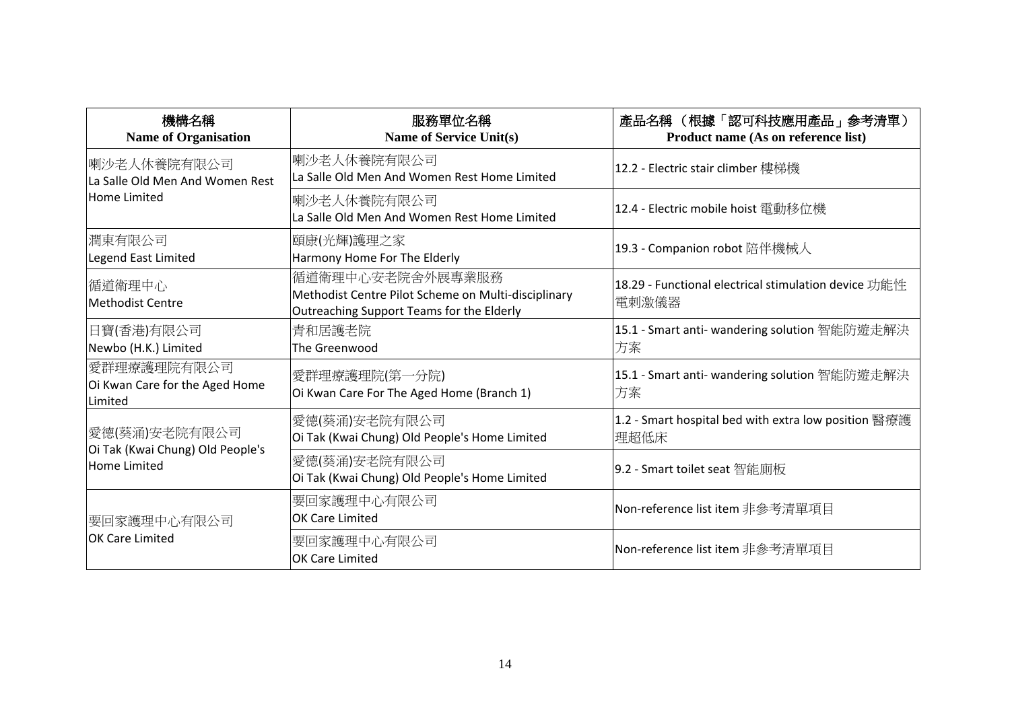| 機構名稱<br><b>Name of Organisation</b>                      | 服務單位名稱<br><b>Name of Service Unit(s)</b>                                                                             | 產品名稱 (根據「認可科技應用產品」參考清單)<br>Product name (As on reference list) |
|----------------------------------------------------------|----------------------------------------------------------------------------------------------------------------------|----------------------------------------------------------------|
| 喇沙老人休養院有限公司<br>La Salle Old Men And Women Rest           | 喇沙老人休養院有限公司<br>La Salle Old Men And Women Rest Home Limited                                                          | 12.2 - Electric stair climber 樓梯機                              |
| <b>Home Limited</b>                                      | 喇沙老人休養院有限公司<br>La Salle Old Men And Women Rest Home Limited                                                          | 12.4 - Electric mobile hoist 電動移位機                             |
| 潤東有限公司<br>Legend East Limited                            | 頤康(光輝)護理之家<br>Harmony Home For The Elderly                                                                           | 19.3 - Companion robot 陪伴機械人                                   |
| 循道衛理中心<br><b>Methodist Centre</b>                        | 循道衛理中心安老院舍外展專業服務<br>Methodist Centre Pilot Scheme on Multi-disciplinary<br>Outreaching Support Teams for the Elderly | 18.29 - Functional electrical stimulation device 功能性<br>電剌激儀器  |
| 日寶(香港)有限公司<br>Newbo (H.K.) Limited                       | 青和居護老院<br>The Greenwood                                                                                              | 15.1 - Smart anti- wandering solution 智能防遊走解決<br>方案            |
| 愛群理療護理院有限公司<br>Oi Kwan Care for the Aged Home<br>Limited | 愛群理療護理院(第一分院)<br>Oi Kwan Care For The Aged Home (Branch 1)                                                           | 15.1 - Smart anti- wandering solution 智能防遊走解決<br>方案            |
| 愛德(葵涌)安老院有限公司                                            | 愛德(葵涌)安老院有限公司<br>Oi Tak (Kwai Chung) Old People's Home Limited                                                       | 1.2 - Smart hospital bed with extra low position 醫療護<br>理超低床   |
| Oi Tak (Kwai Chung) Old People's<br><b>Home Limited</b>  | 愛德(葵涌)安老院有限公司<br>Oi Tak (Kwai Chung) Old People's Home Limited                                                       | 9.2 - Smart toilet seat 智能廁板                                   |
| 要回家護理中心有限公司                                              | 要回家護理中心有限公司<br><b>OK Care Limited</b>                                                                                | Non-reference list item 非參考清單項目                                |
| <b>OK Care Limited</b>                                   | 要回家護理中心有限公司<br><b>OK Care Limited</b>                                                                                | Non-reference list item 非參考清單項目                                |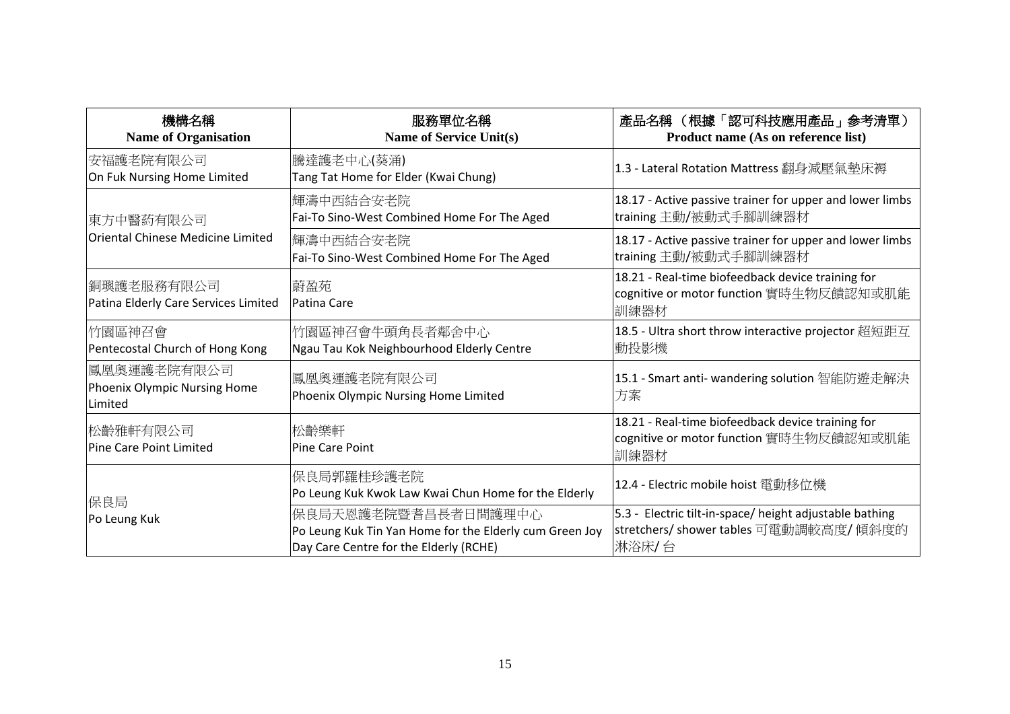| 機構名稱<br><b>Name of Organisation</b>                    | 服務單位名稱<br><b>Name of Service Unit(s)</b>                                                                                 | 產品名稱 (根據「認可科技應用產品」參考清單)<br>Product name (As on reference list)                                              |
|--------------------------------------------------------|--------------------------------------------------------------------------------------------------------------------------|-------------------------------------------------------------------------------------------------------------|
| 安福護老院有限公司<br>On Fuk Nursing Home Limited               | 騰達護老中心(葵涌)<br>Tang Tat Home for Elder (Kwai Chung)                                                                       | 1.3 - Lateral Rotation Mattress 翻身减壓氣墊床褥                                                                    |
| 東方中醫葯有限公司                                              | 輝濤中西結合安老院<br>Fai-To Sino-West Combined Home For The Aged                                                                 | 18.17 - Active passive trainer for upper and lower limbs<br>training 主動/被動式手腳訓練器材                           |
| Oriental Chinese Medicine Limited                      | 輝濤中西結合安老院<br>Fai-To Sino-West Combined Home For The Aged                                                                 | 18.17 - Active passive trainer for upper and lower limbs<br>training 主動/被動式手腳訓練器材                           |
| 銅璵護老服務有限公司<br>Patina Elderly Care Services Limited     | 蔚盈苑<br>Patina Care                                                                                                       | 18.21 - Real-time biofeedback device training for<br>cognitive or motor function 實時生物反饋認知或肌能<br>訓練器材        |
| 竹園區神召會<br>Pentecostal Church of Hong Kong              | 竹園區神召會牛頭角長者鄰舍中心<br>Ngau Tau Kok Neighbourhood Elderly Centre                                                             | 18.5 - Ultra short throw interactive projector 超短距互<br>動投影機                                                 |
| 鳳凰奧運護老院有限公司<br>Phoenix Olympic Nursing Home<br>Limited | 鳳凰奧運護老院有限公司<br>Phoenix Olympic Nursing Home Limited                                                                      | 15.1 - Smart anti- wandering solution 智能防遊走解決<br>方案                                                         |
| 松齡雅軒有限公司<br>Pine Care Point Limited                    | 松齡樂軒<br><b>Pine Care Point</b>                                                                                           | 18.21 - Real-time biofeedback device training for<br>cognitive or motor function 實時生物反饋認知或肌能<br>訓練器材        |
| 保良局<br>Po Leung Kuk                                    | 保良局郭羅桂珍護老院<br>Po Leung Kuk Kwok Law Kwai Chun Home for the Elderly                                                       | 12.4 - Electric mobile hoist 電動移位機                                                                          |
|                                                        | 保良局天恩護老院暨耆昌長者日間護理中心<br>Po Leung Kuk Tin Yan Home for the Elderly cum Green Joy<br>Day Care Centre for the Elderly (RCHE) | 5.3 - Electric tilt-in-space/ height adjustable bathing<br>stretchers/ shower tables 可電動調較高度/ 傾斜度的<br>淋浴床/台 |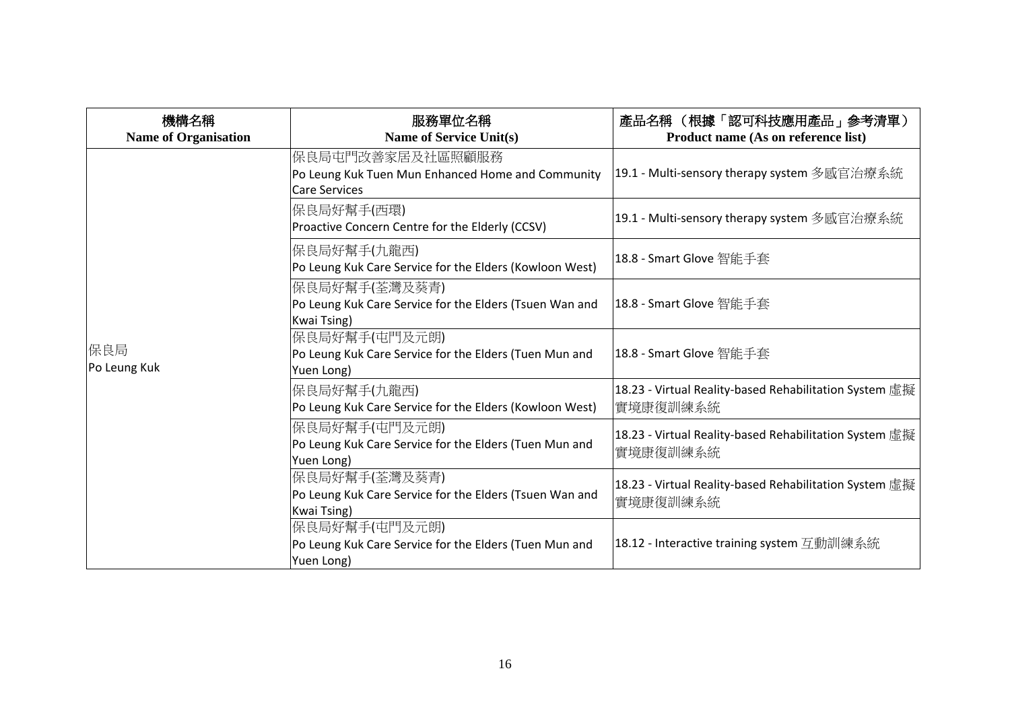| 機構名稱<br><b>Name of Organisation</b> | 服務單位名稱<br>Name of Service Unit(s)                                                              | 產品名稱 (根據「認可科技應用產品」參考清單)<br>Product name (As on reference list)      |
|-------------------------------------|------------------------------------------------------------------------------------------------|---------------------------------------------------------------------|
|                                     | 保良局屯門改善家居及社區照顧服務<br>Po Leung Kuk Tuen Mun Enhanced Home and Community<br><b>Care Services</b>  | 19.1 - Multi-sensory therapy system 多感官治療系統                         |
|                                     | 保良局好幫手(西環)<br>Proactive Concern Centre for the Elderly (CCSV)                                  | 19.1 - Multi-sensory therapy system 多感官治療系統                         |
| 保良局<br>Po Leung Kuk                 | 保良局好幫手(九龍西)<br>Po Leung Kuk Care Service for the Elders (Kowloon West)                         | 18.8 - Smart Glove 智能手套                                             |
|                                     | 保良局好幫手(荃灣及葵青)<br>Po Leung Kuk Care Service for the Elders (Tsuen Wan and<br><b>Kwai Tsing)</b> | 18.8 - Smart Glove 智能手套                                             |
|                                     | 保良局好幫手(屯門及元朗)<br>Po Leung Kuk Care Service for the Elders (Tuen Mun and<br>Yuen Long)          | 18.8 - Smart Glove 智能手套                                             |
|                                     | 保良局好幫手(九龍西)<br>Po Leung Kuk Care Service for the Elders (Kowloon West)                         | 18.23 - Virtual Reality-based Rehabilitation System 虛擬<br>實境康復訓練系統  |
|                                     | 保良局好幫手(屯門及元朗)<br>Po Leung Kuk Care Service for the Elders (Tuen Mun and<br>Yuen Long)          | 18.23 - Virtual Reality-based Rehabilitation System 虛擬<br> 實境康復訓練系統 |
|                                     | 保良局好幫手(荃灣及葵青)<br>Po Leung Kuk Care Service for the Elders (Tsuen Wan and<br><b>Kwai Tsing)</b> | 18.23 - Virtual Reality-based Rehabilitation System 虛擬<br>實境康復訓練系統  |
|                                     | 保良局好幫手(屯門及元朗)<br>Po Leung Kuk Care Service for the Elders (Tuen Mun and<br>Yuen Long)          | 18.12 - Interactive training system 互動訓練系統                          |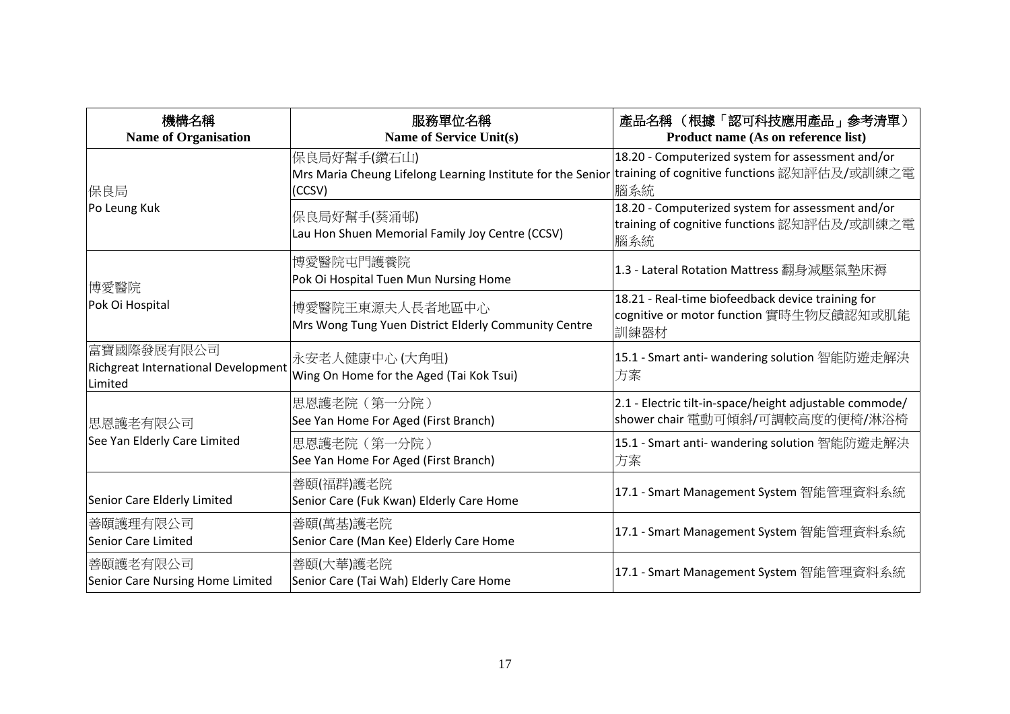| 機構名稱<br><b>Name of Organisation</b>                          | 服務單位名稱<br><b>Name of Service Unit(s)</b>                                                                                          | 產品名稱 (根據「認可科技應用產品」參考清單)<br>Product name (As on reference list)                                          |
|--------------------------------------------------------------|-----------------------------------------------------------------------------------------------------------------------------------|---------------------------------------------------------------------------------------------------------|
| 保良局                                                          | 保良局好幫手(鑽石山)<br> Mrs Maria Cheung Lifelong Learning Institute for the Senior training of cognitive functions 認知評估及/或訓練之電<br>(CCSV) | 18.20 - Computerized system for assessment and/or<br>腦系統                                                |
| Po Leung Kuk                                                 | 保良局好幫手(葵涌邨)<br>Lau Hon Shuen Memorial Family Joy Centre (CCSV)                                                                    | 18.20 - Computerized system for assessment and/or<br>training of cognitive functions 認知評估及/或訓練之電<br>腦系統 |
| 博愛醫院                                                         | 博愛醫院屯門護養院<br>Pok Oi Hospital Tuen Mun Nursing Home                                                                                | 1.3 - Lateral Rotation Mattress 翻身減壓氣墊床褥                                                                |
| Pok Oi Hospital                                              | 博愛醫院王東源夫人長者地區中心<br>Mrs Wong Tung Yuen District Elderly Community Centre                                                           | 18.21 - Real-time biofeedback device training for<br>cognitive or motor function 實時生物反饋認知或肌能<br>訓練器材    |
| 富寶國際發展有限公司<br>Richgreat International Development<br>Limited | 永安老人健康中心(大角咀)<br>Wing On Home for the Aged (Tai Kok Tsui)                                                                         | 15.1 - Smart anti- wandering solution 智能防遊走解決<br>方案                                                     |
| 思恩護老有限公司<br>See Yan Elderly Care Limited                     | 思恩護老院 (第一分院)<br>See Yan Home For Aged (First Branch)                                                                              | 2.1 - Electric tilt-in-space/height adjustable commode/<br>shower chair 電動可傾斜/可調較高度的便椅/淋浴椅              |
|                                                              | 思恩護老院 (第一分院)<br>See Yan Home For Aged (First Branch)                                                                              | 15.1 - Smart anti- wandering solution 智能防遊走解決<br>方案                                                     |
| Senior Care Elderly Limited                                  | 善頤(福群)護老院<br>Senior Care (Fuk Kwan) Elderly Care Home                                                                             | 17.1 - Smart Management System 智能管理資料系統                                                                 |
| 善頤護理有限公司<br>Senior Care Limited                              | 善頤(萬基)護老院<br>Senior Care (Man Kee) Elderly Care Home                                                                              | 17.1 - Smart Management System 智能管理資料系統                                                                 |
| 善頤護老有限公司<br>Senior Care Nursing Home Limited                 | 善頤(大華)護老院<br>Senior Care (Tai Wah) Elderly Care Home                                                                              | 17.1 - Smart Management System 智能管理資料系統                                                                 |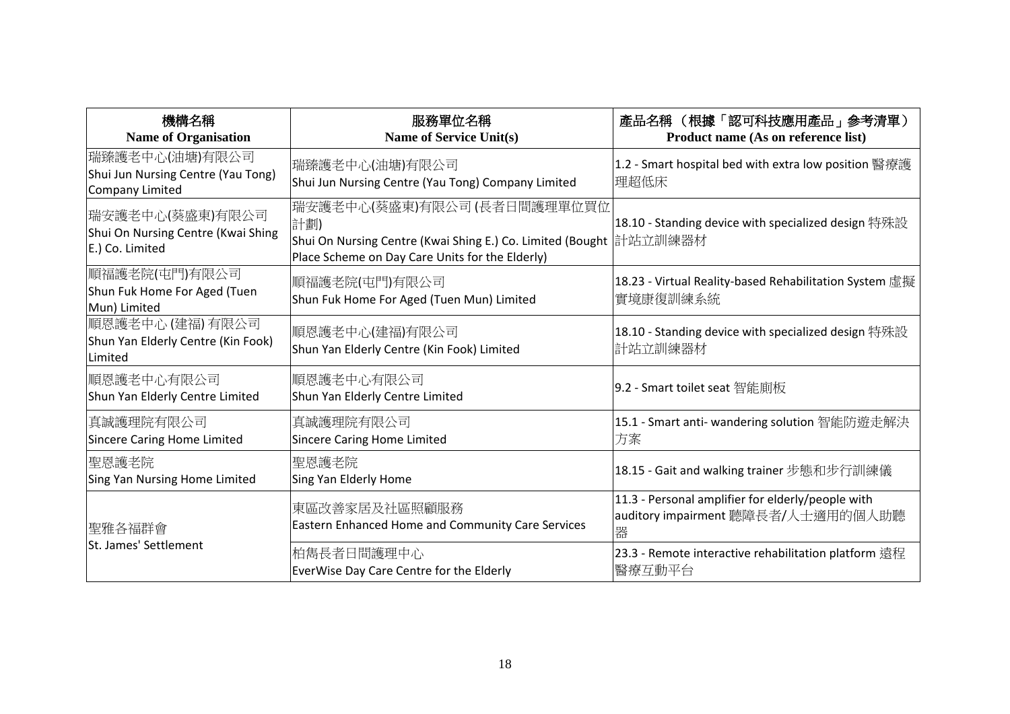| 機構名稱<br><b>Name of Organisation</b>                                      | 服務單位名稱<br><b>Name of Service Unit(s)</b>                                                                                                                                     | 產品名稱 (根據「認可科技應用產品」參考清單)<br>Product name (As on reference list)                               |
|--------------------------------------------------------------------------|------------------------------------------------------------------------------------------------------------------------------------------------------------------------------|----------------------------------------------------------------------------------------------|
| 瑞臻護老中心(油塘)有限公司<br>Shui Jun Nursing Centre (Yau Tong)<br>Company Limited  | 瑞臻護老中心(油塘)有限公司<br>Shui Jun Nursing Centre (Yau Tong) Company Limited                                                                                                         | 1.2 - Smart hospital bed with extra low position 醫療護<br>理超低床                                 |
| 瑞安護老中心(葵盛東)有限公司<br>Shui On Nursing Centre (Kwai Shing<br>E.) Co. Limited | 瑞安護老中心(葵盛東)有限公司 (長者日間護理單位買位<br>計劃)<br>'Shui On Nursing Centre (Kwai Shing E.) Co. Limited (Bought                 計站立訓練器材<br>Place Scheme on Day Care Units for the Elderly) | 18.10 - Standing device with specialized design 特殊設                                          |
| 順福護老院(屯門)有限公司 <br>Shun Fuk Home For Aged (Tuen<br>Mun) Limited           | 順福護老院(屯門)有限公司<br>Shun Fuk Home For Aged (Tuen Mun) Limited                                                                                                                   | 18.23 - Virtual Reality-based Rehabilitation System 虛擬<br>實境康復訓練系統                           |
| 順恩護老中心 (建福) 有限公司<br>Shun Yan Elderly Centre (Kin Fook)<br><b>Limited</b> | 順恩護老中心(建福)有限公司<br>Shun Yan Elderly Centre (Kin Fook) Limited                                                                                                                 | 18.10 - Standing device with specialized design 特殊設<br>計站立訓練器材                               |
| 順恩護老中心有限公司<br>Shun Yan Elderly Centre Limited                            | 順恩護老中心有限公司<br>Shun Yan Elderly Centre Limited                                                                                                                                | 9.2 - Smart toilet seat 智能廁板                                                                 |
| 真誠護理院有限公司<br>Sincere Caring Home Limited                                 | 真誠護理院有限公司<br><b>Sincere Caring Home Limited</b>                                                                                                                              | 15.1 - Smart anti- wandering solution 智能防遊走解決<br>方案                                          |
| 聖恩護老院<br>Sing Yan Nursing Home Limited                                   | 聖恩護老院<br>Sing Yan Elderly Home                                                                                                                                               | 18.15 - Gait and walking trainer 步態和步行訓練儀                                                    |
| 聖雅各福群會                                                                   | 東區改善家居及社區照顧服務<br>Eastern Enhanced Home and Community Care Services                                                                                                           | 11.3 - Personal amplifier for elderly/people with<br>auditory impairment 聽障長者/人士適用的個人助聽<br>器 |
| St. James' Settlement                                                    | 柏雋長者日間護理中心<br>EverWise Day Care Centre for the Elderly                                                                                                                       | 23.3 - Remote interactive rehabilitation platform 遠程<br>醫療互動平台                               |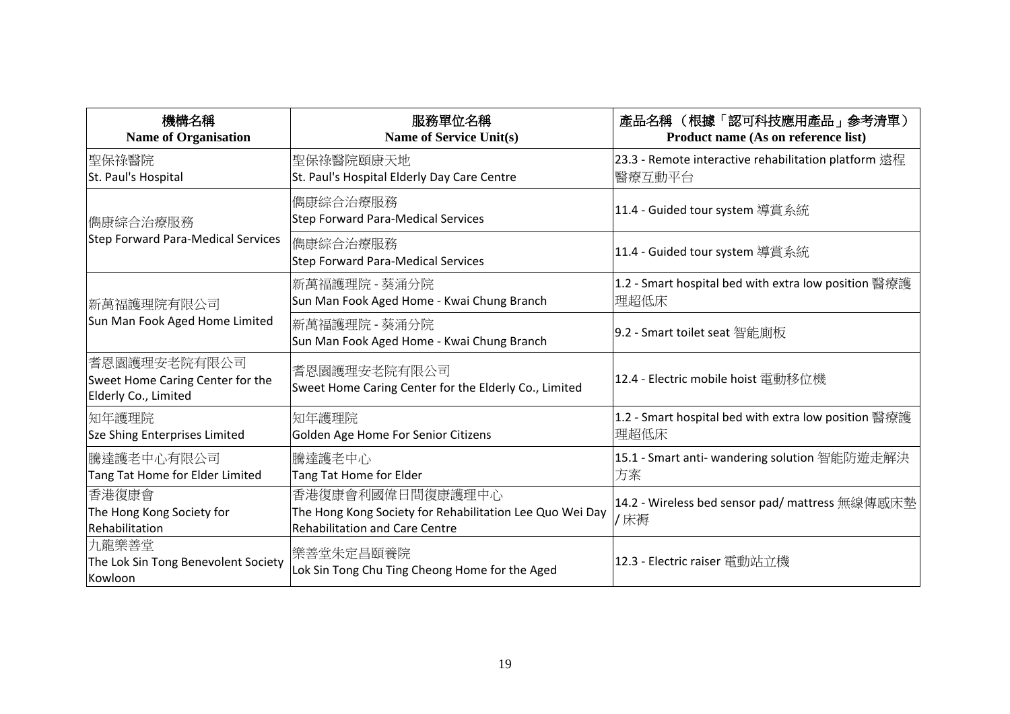| 機構名稱<br><b>Name of Organisation</b>                                      | 服務單位名稱<br><b>Name of Service Unit(s)</b>                                                                              | 產品名稱 (根據「認可科技應用產品」參考清單)<br>Product name (As on reference list)  |
|--------------------------------------------------------------------------|-----------------------------------------------------------------------------------------------------------------------|-----------------------------------------------------------------|
| 聖保祿醫院<br>St. Paul's Hospital                                             | 聖保祿醫院頤康天地<br>St. Paul's Hospital Elderly Day Care Centre                                                              | 23.3 - Remote interactive rehabilitation platform 遠程<br> 醫療互動平台 |
| 儁康綜合治療服務<br>Step Forward Para-Medical Services                           | 儁康綜合治療服務<br><b>Step Forward Para-Medical Services</b>                                                                 | 11.4 - Guided tour system 導賞系統                                  |
|                                                                          | 儁康綜合治療服務<br><b>Step Forward Para-Medical Services</b>                                                                 | 11.4 - Guided tour system 導賞系統                                  |
| 新萬福護理院有限公司<br>Sun Man Fook Aged Home Limited                             | 新萬福護理院 - 葵涌分院<br>Sun Man Fook Aged Home - Kwai Chung Branch                                                           | 1.2 - Smart hospital bed with extra low position 醫療護<br>理超低床    |
|                                                                          | 新萬福護理院 - 葵涌分院<br>Sun Man Fook Aged Home - Kwai Chung Branch                                                           | 9.2 - Smart toilet seat 智能廁板                                    |
| 耆恩園護理安老院有限公司<br>Sweet Home Caring Center for the<br>Elderly Co., Limited | 耆恩園護理安老院有限公司<br>Sweet Home Caring Center for the Elderly Co., Limited                                                 | 12.4 - Electric mobile hoist 電動移位機                              |
| 知年護理院<br>Sze Shing Enterprises Limited                                   | 知年護理院<br>Golden Age Home For Senior Citizens                                                                          | 1.2 - Smart hospital bed with extra low position 醫療護<br>理超低床    |
| 騰達護老中心有限公司<br>Tang Tat Home for Elder Limited                            | 騰達護老中心<br>Tang Tat Home for Elder                                                                                     | 15.1 - Smart anti- wandering solution 智能防遊走解決<br>方案             |
| 香港復康會<br>The Hong Kong Society for<br>Rehabilitation                     | 香港復康會利國偉日間復康護理中心<br>The Hong Kong Society for Rehabilitation Lee Quo Wei Day<br><b>Rehabilitation and Care Centre</b> | 14.2 - Wireless bed sensor pad/ mattress 無線傳感床墊<br>/床褥          |
| 九龍樂善堂<br>The Lok Sin Tong Benevolent Society<br>Kowloon                  | 樂善堂朱定昌頤養院<br>Lok Sin Tong Chu Ting Cheong Home for the Aged                                                           | 12.3 - Electric raiser 電動站立機                                    |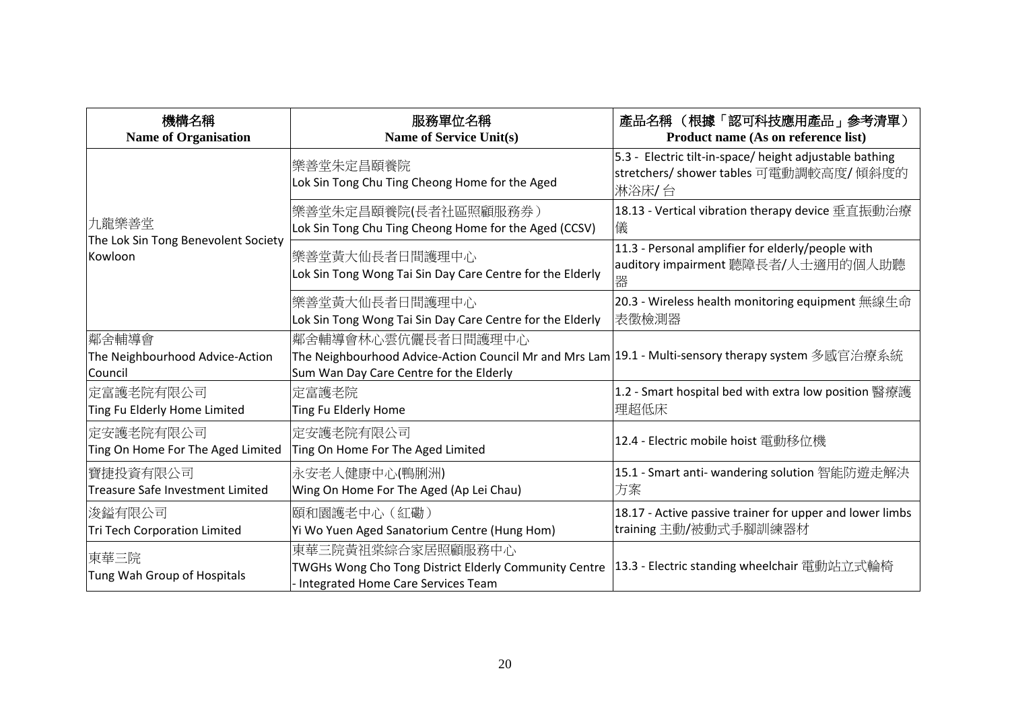| 機構名稱<br><b>Name of Organisation</b>                 | 服務單位名稱<br><b>Name of Service Unit(s)</b>                                                                                                                             | 產品名稱 (根據「認可科技應用產品」參考清單)<br>Product name (As on reference list)                                             |
|-----------------------------------------------------|----------------------------------------------------------------------------------------------------------------------------------------------------------------------|------------------------------------------------------------------------------------------------------------|
|                                                     | 樂善堂朱定昌頤養院<br>Lok Sin Tong Chu Ting Cheong Home for the Aged                                                                                                          | 5.3 - Electric tilt-in-space/ height adjustable bathing<br>stretchers/ shower tables 可電動調較高度/傾斜度的<br>淋浴床/台 |
| 九龍樂善堂                                               | 樂善堂朱定昌頤養院(長者社區照顧服務券)<br>Lok Sin Tong Chu Ting Cheong Home for the Aged (CCSV)                                                                                        | 18.13 - Vertical vibration therapy device 垂直振動治療<br>儀                                                      |
| The Lok Sin Tong Benevolent Society<br>Kowloon      | 樂善堂黃大仙長者日間護理中心<br>Lok Sin Tong Wong Tai Sin Day Care Centre for the Elderly                                                                                          | 11.3 - Personal amplifier for elderly/people with<br>auditory impairment 聽障長者/人士適用的個人助聽<br>器               |
|                                                     | 樂善堂黃大仙長者日間護理中心<br>Lok Sin Tong Wong Tai Sin Day Care Centre for the Elderly                                                                                          | 20.3 - Wireless health monitoring equipment 無線生命<br>表徵檢測器                                                  |
| 鄰舍輔導會<br>The Neighbourhood Advice-Action<br>Council | 鄰舍輔導會林心雲伉儷長者日間護理中心<br> The Neighbourhood Advice-Action Council Mr and Mrs Lam 19.1 - Multi-sensory therapy system 多感官治療系統<br>Sum Wan Day Care Centre for the Elderly |                                                                                                            |
| 定富護老院有限公司<br>Ting Fu Elderly Home Limited           | 定富護老院<br>Ting Fu Elderly Home                                                                                                                                        | 1.2 - Smart hospital bed with extra low position 醫療護<br>理超低床                                               |
| 定安護老院有限公司<br>Ting On Home For The Aged Limited      | 定安護老院有限公司<br>Ting On Home For The Aged Limited                                                                                                                       | 12.4 - Electric mobile hoist 電動移位機                                                                         |
| 寶捷投資有限公司<br>Treasure Safe Investment Limited        | 永安老人健康中心(鴨脷洲)<br>Wing On Home For The Aged (Ap Lei Chau)                                                                                                             | 15.1 - Smart anti- wandering solution 智能防遊走解決<br>方案                                                        |
| 浚鎰有限公司<br>Tri Tech Corporation Limited              | 頤和園護老中心 (紅磡)<br>Yi Wo Yuen Aged Sanatorium Centre (Hung Hom)                                                                                                         | 18.17 - Active passive trainer for upper and lower limbs<br>training 主動/被動式手腳訓練器材                          |
| 東華三院<br>Tung Wah Group of Hospitals                 | 東華三院黃祖棠綜合家居照顧服務中心<br>TWGHs Wong Cho Tong District Elderly Community Centre<br>- Integrated Home Care Services Team                                                   | 13.3 - Electric standing wheelchair 電動站立式輪椅                                                                |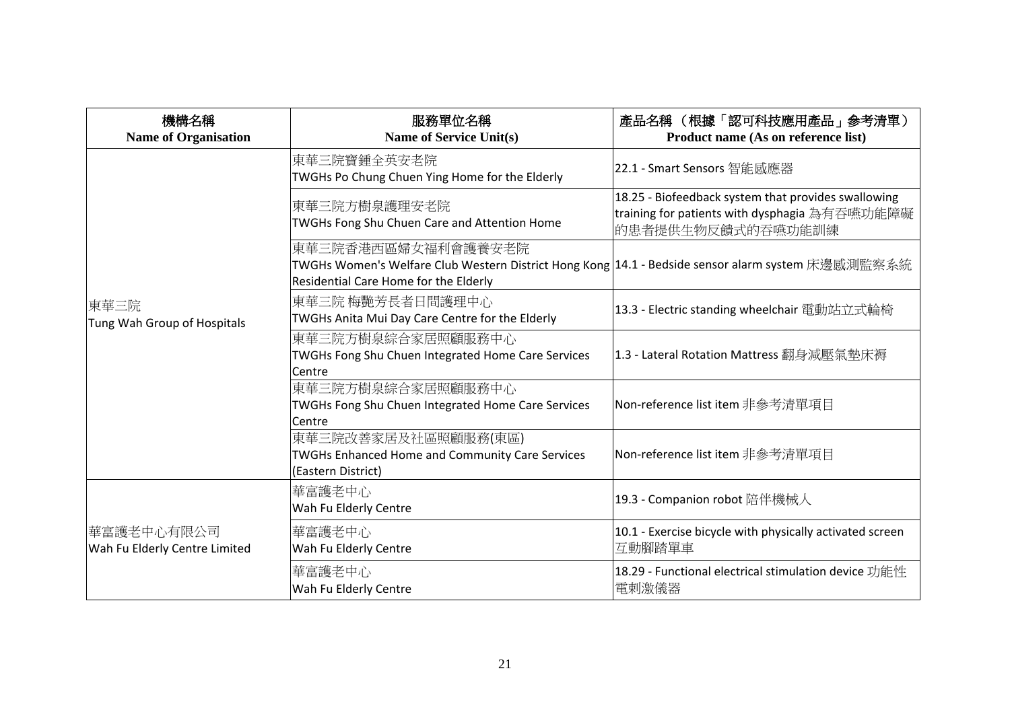| 機構名稱<br><b>Name of Organisation</b>         | 服務單位名稱<br><b>Name of Service Unit(s)</b>                                                                                                                          | 產品名稱 (根據「認可科技應用產品」參考清單)<br>Product name (As on reference list)                                                            |
|---------------------------------------------|-------------------------------------------------------------------------------------------------------------------------------------------------------------------|---------------------------------------------------------------------------------------------------------------------------|
|                                             | 東華三院寶鍾全英安老院<br>TWGHs Po Chung Chuen Ying Home for the Elderly                                                                                                     | 22.1 - Smart Sensors 智能感應器                                                                                                |
|                                             | 東華三院方樹泉護理安老院<br>TWGHs Fong Shu Chuen Care and Attention Home                                                                                                      | 18.25 - Biofeedback system that provides swallowing<br>training for patients with dysphagia 為有吞嚥功能障礙<br>的患者提供生物反饋式的吞嚥功能訓練 |
|                                             | 東華三院香港西區婦女福利會護養安老院<br>TWGHs Women's Welfare Club Western District Hong Kong  14.1 - Bedside sensor alarm system 床邊感測監察系統<br>Residential Care Home for the Elderly |                                                                                                                           |
| 東華三院<br>Tung Wah Group of Hospitals         | 東華三院 梅艷芳長者日間護理中心<br>TWGHs Anita Mui Day Care Centre for the Elderly                                                                                               | 13.3 - Electric standing wheelchair 電動站立式輪椅                                                                               |
|                                             | 東華三院方樹泉綜合家居照顧服務中心<br>TWGHs Fong Shu Chuen Integrated Home Care Services<br>Centre                                                                                 | 1.3 - Lateral Rotation Mattress 翻身減壓氣墊床褥                                                                                  |
|                                             | 東華三院方樹泉綜合家居照顧服務中心<br>TWGHs Fong Shu Chuen Integrated Home Care Services<br>Centre                                                                                 | Non-reference list item 非參考清單項目                                                                                           |
|                                             | 東華三院改善家居及社區照顧服務(東區)<br>TWGHs Enhanced Home and Community Care Services<br>(Eastern District)                                                                      | Non-reference list item 非參考清單項目                                                                                           |
| 華富護老中心有限公司<br>Wah Fu Elderly Centre Limited | 華富護老中心<br>Wah Fu Elderly Centre                                                                                                                                   | 19.3 - Companion robot 陪伴機械人                                                                                              |
|                                             | 華富護老中心<br>Wah Fu Elderly Centre                                                                                                                                   | 10.1 - Exercise bicycle with physically activated screen<br>互動腳踏單車                                                        |
|                                             | 華富護老中心<br>Wah Fu Elderly Centre                                                                                                                                   | 18.29 - Functional electrical stimulation device 功能性<br>電剌激儀器                                                             |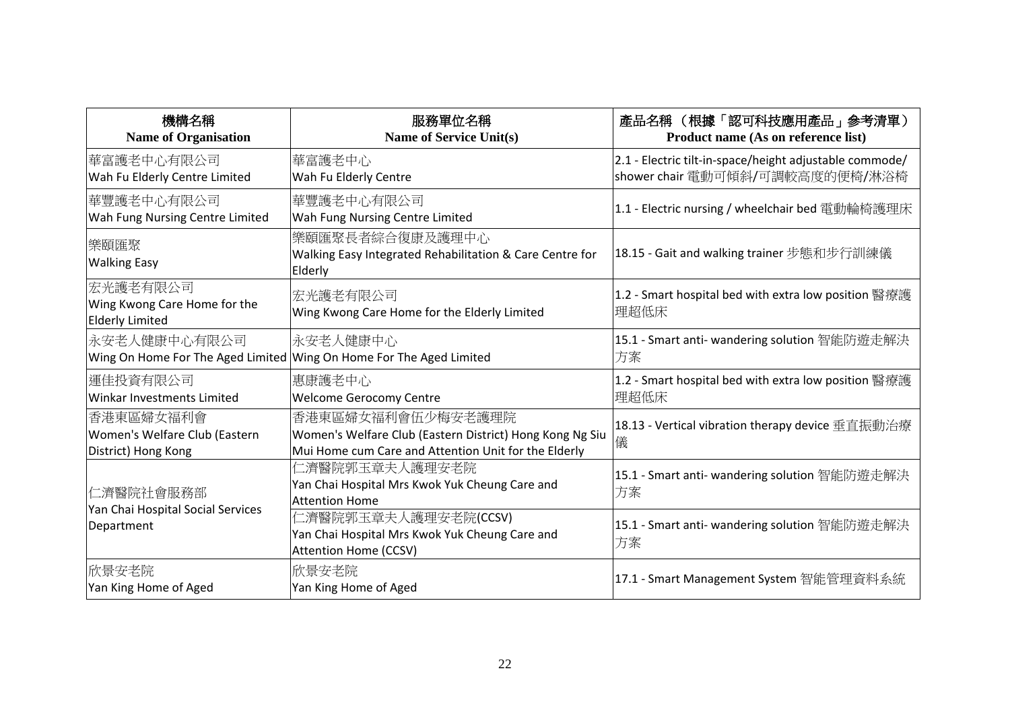| 機構名稱<br><b>Name of Organisation</b>                                | 服務單位名稱<br><b>Name of Service Unit(s)</b>                                                                                              | 產品名稱 (根據「認可科技應用產品」參考清單)<br>Product name (As on reference list)                             |
|--------------------------------------------------------------------|---------------------------------------------------------------------------------------------------------------------------------------|--------------------------------------------------------------------------------------------|
| 華富護老中心有限公司<br>Wah Fu Elderly Centre Limited                        | 華富護老中心<br>Wah Fu Elderly Centre                                                                                                       | 2.1 - Electric tilt-in-space/height adjustable commode/<br>shower chair 電動可傾斜/可調較高度的便椅/淋浴椅 |
| 華豐護老中心有限公司 <br>Wah Fung Nursing Centre Limited                     | 華豐護老中心有限公司<br>Wah Fung Nursing Centre Limited                                                                                         | 1.1 - Electric nursing / wheelchair bed 電動輪椅護理床                                            |
| 樂頤匯聚<br><b>Walking Easy</b>                                        | 樂頤匯聚長者綜合復康及護理中心<br>Walking Easy Integrated Rehabilitation & Care Centre for<br>Elderly                                                | 18.15 - Gait and walking trainer 步態和步行訓練儀                                                  |
| 宏光護老有限公司<br>Wing Kwong Care Home for the<br><b>Elderly Limited</b> | 宏光護老有限公司<br>Wing Kwong Care Home for the Elderly Limited                                                                              | 1.2 - Smart hospital bed with extra low position 醫療護<br> 理超低床                              |
| 永安老人健康中心有限公司                                                       | 永安老人健康中心<br>Wing On Home For The Aged Limited Wing On Home For The Aged Limited                                                       | 15.1 - Smart anti- wandering solution 智能防遊走解決<br>方案                                        |
| 運佳投資有限公司<br><b>Winkar Investments Limited</b>                      | 惠康護老中心<br><b>Welcome Gerocomy Centre</b>                                                                                              | 1.2 - Smart hospital bed with extra low position 醫療護<br>理超低床                               |
| 香港東區婦女福利會<br>Women's Welfare Club (Eastern<br>District) Hong Kong  | 香港東區婦女福利會伍少梅安老護理院<br>Women's Welfare Club (Eastern District) Hong Kong Ng Siu<br>Mui Home cum Care and Attention Unit for the Elderly | 18.13 - Vertical vibration therapy device 垂直振動治療<br>儀                                      |
| 仁濟醫院社會服務部<br>Yan Chai Hospital Social Services<br>Department       | 仁濟醫院郭玉章夫人護理安老院<br>Yan Chai Hospital Mrs Kwok Yuk Cheung Care and<br>Attention Home                                                    | 15.1 - Smart anti- wandering solution 智能防遊走解決<br>方案                                        |
|                                                                    | 仁濟醫院郭玉章夫人護理安老院(CCSV)<br>Yan Chai Hospital Mrs Kwok Yuk Cheung Care and<br>Attention Home (CCSV)                                       | 15.1 - Smart anti- wandering solution 智能防遊走解決<br>方案                                        |
| 欣景安老院<br>Yan King Home of Aged                                     | 欣景安老院<br>Yan King Home of Aged                                                                                                        | 17.1 - Smart Management System 智能管理資料系統                                                    |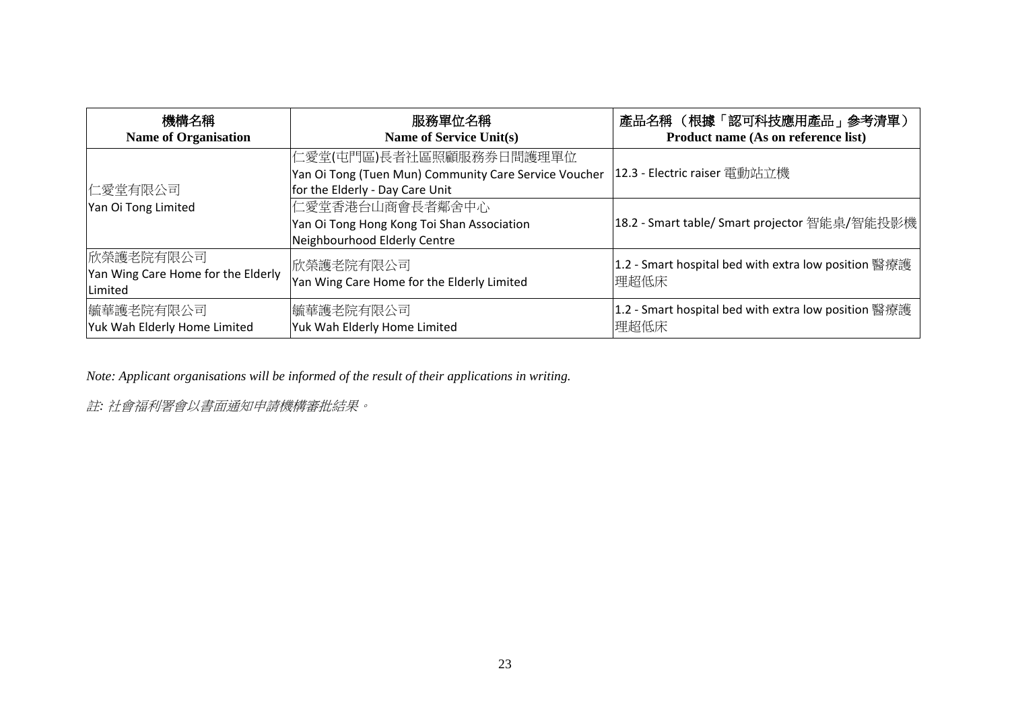| 機構名稱<br><b>Name of Organisation</b>                        | 服務單位名稱<br>Name of Service Unit(s)                                                                                   | 產品名稱 (根據「認可科技應用產品」參考清單)<br>Product name (As on reference list) |
|------------------------------------------------------------|---------------------------------------------------------------------------------------------------------------------|----------------------------------------------------------------|
| 仁愛堂有限公司                                                    | 仁愛堂(屯門區)長者社區照顧服務券日間護理單位<br>Yan Oi Tong (Tuen Mun) Community Care Service Voucher<br>for the Elderly - Day Care Unit | 12.3 - Electric raiser 電動站立機                                   |
| Yan Oi Tong Limited                                        | 仁愛堂香港台山商會長者鄰舍中心<br>Yan Oi Tong Hong Kong Toi Shan Association<br>Neighbourhood Elderly Centre                       | 18.2 - Smart table/ Smart projector 智能桌/智能投影機                  |
| 欣榮護老院有限公司<br>Yan Wing Care Home for the Elderly<br>Limited | 欣榮護老院有限公司 <br>Yan Wing Care Home for the Elderly Limited                                                            | 1.2 - Smart hospital bed with extra low position 醫療護<br>理超低床   |
| 毓華護老院有限公司<br>Yuk Wah Elderly Home Limited                  | 毓華護老院有限公司<br>Yuk Wah Elderly Home Limited                                                                           | 1.2 - Smart hospital bed with extra low position 醫療護<br>理超低床   |

*Note: Applicant organisations will be informed of the result of their applications in writing.*

註*:* 社會福利署會以書面通知申請機構審批結果。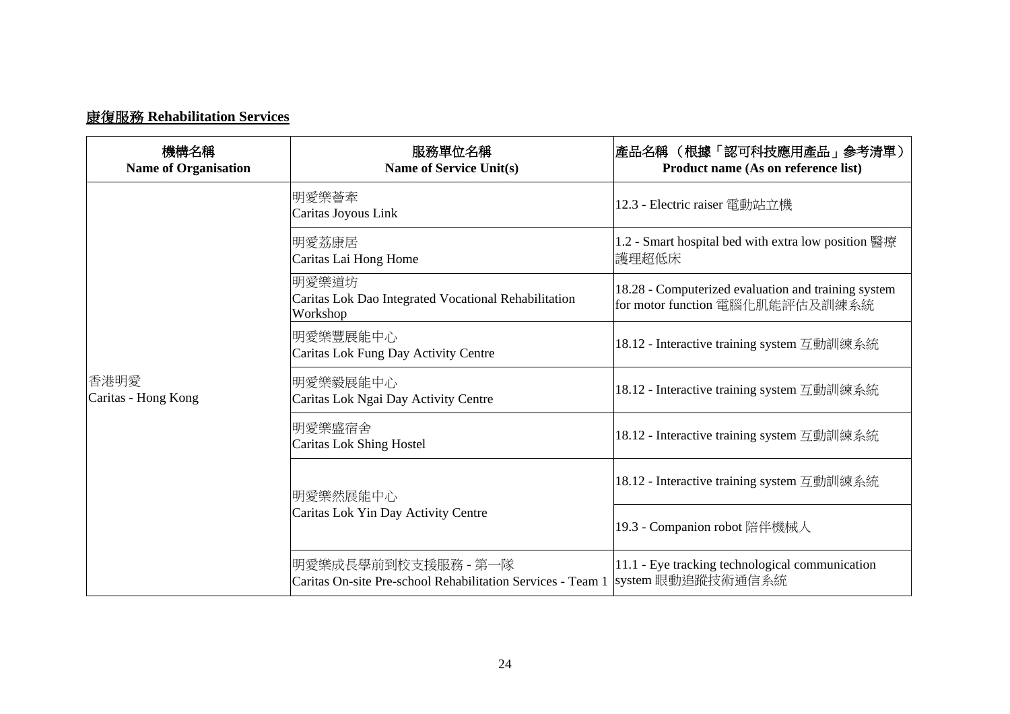## 康復服務 **Rehabilitation Services**

| 機構名稱<br><b>Name of Organisation</b> | 服務單位名稱<br>Name of Service Unit(s)                                                  | 產品名稱 (根據「認可科技應用產品」參考清單)<br>Product name (As on reference list)                         |
|-------------------------------------|------------------------------------------------------------------------------------|----------------------------------------------------------------------------------------|
|                                     | 明愛樂薈牽<br>Caritas Joyous Link                                                       | 12.3 - Electric raiser 電動站立機                                                           |
|                                     | 明愛荔康居<br>Caritas Lai Hong Home                                                     | 1.2 - Smart hospital bed with extra low position 醫療<br>護理超低床                           |
| 香港明愛<br>Caritas - Hong Kong         | 明愛樂道坊<br>Caritas Lok Dao Integrated Vocational Rehabilitation<br>Workshop          | 18.28 - Computerized evaluation and training system<br>for motor function 電腦化肌能評估及訓練系統 |
|                                     | 明愛樂豐展能中心<br>Caritas Lok Fung Day Activity Centre                                   | 18.12 - Interactive training system 互動訓練系統                                             |
|                                     | 明愛樂毅展能中心<br>Caritas Lok Ngai Day Activity Centre                                   | 18.12 - Interactive training system 互動訓練系統                                             |
|                                     | 明愛樂盛宿舍<br><b>Caritas Lok Shing Hostel</b>                                          | 18.12 - Interactive training system 互動訓練系統                                             |
|                                     | 明愛樂然展能中心<br>Caritas Lok Yin Day Activity Centre                                    | 18.12 - Interactive training system 互動訓練系統                                             |
|                                     |                                                                                    | 19.3 - Companion robot 陪伴機械人                                                           |
|                                     | 明愛樂成長學前到校支援服務 - 第一隊<br>Caritas On-site Pre-school Rehabilitation Services - Team 1 | 11.1 - Eye tracking technological communication<br>system 眼動追蹤技術通信系統                   |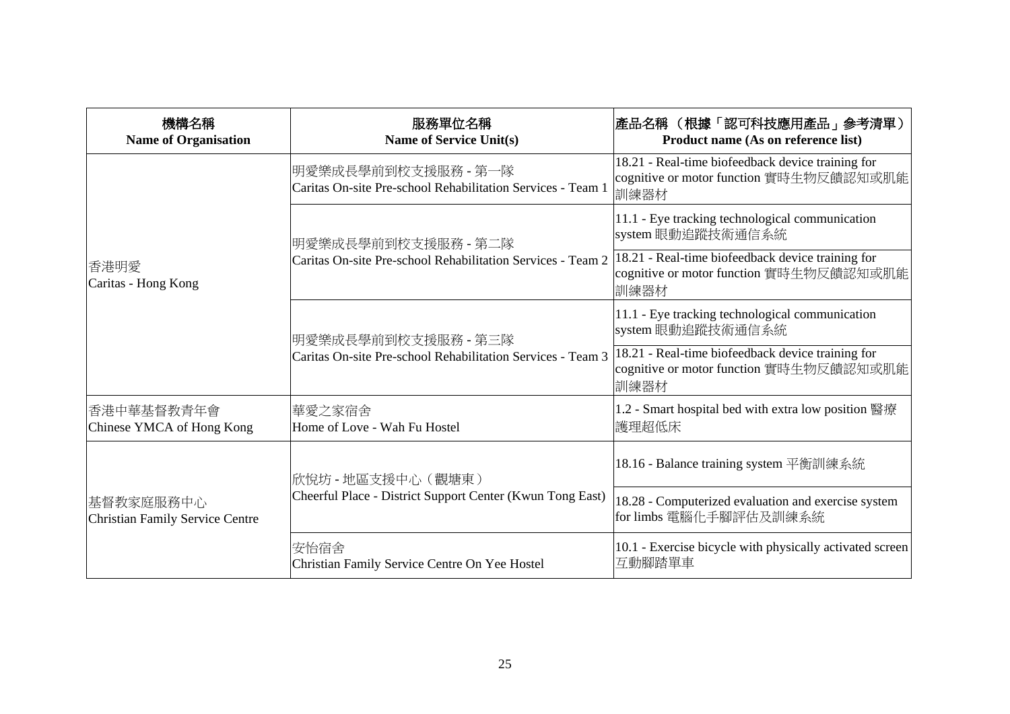| 機構名稱<br><b>Name of Organisation</b>          | 服務單位名稱<br><b>Name of Service Unit(s)</b>                                           | 產品名稱 (根據「認可科技應用產品」参考清單)<br>Product name (As on reference list)                                       |
|----------------------------------------------|------------------------------------------------------------------------------------|------------------------------------------------------------------------------------------------------|
|                                              | 明愛樂成長學前到校支援服務 - 第一隊<br>Caritas On-site Pre-school Rehabilitation Services - Team 1 | 18.21 - Real-time biofeedback device training for<br>cognitive or motor function 實時生物反饋認知或肌能<br>訓練器材 |
|                                              | 明愛樂成長學前到校支援服務 - 第二隊<br>Caritas On-site Pre-school Rehabilitation Services - Team 2 | 11.1 - Eye tracking technological communication<br>system 眼動追蹤技術通信系統                                 |
| 香港明愛<br>Caritas - Hong Kong                  |                                                                                    | 18.21 - Real-time biofeedback device training for<br>cognitive or motor function 實時生物反饋認知或肌能<br>訓練器材 |
|                                              | 明愛樂成長學前到校支援服務 - 第三隊<br>Caritas On-site Pre-school Rehabilitation Services - Team 3 | 11.1 - Eye tracking technological communication<br>system 眼動追蹤技術通信系統                                 |
|                                              |                                                                                    | 18.21 - Real-time biofeedback device training for<br>cognitive or motor function 實時生物反饋認知或肌能<br>訓練器材 |
| 香港中華基督教青年會<br>Chinese YMCA of Hong Kong      | 華愛之家宿舍<br>Home of Love - Wah Fu Hostel                                             | 1.2 - Smart hospital bed with extra low position 醫療<br>護理超低床                                         |
| 基督教家庭服務中心<br>Christian Family Service Centre | 欣悅坊 - 地區支援中心(觀塘東)<br>Cheerful Place - District Support Center (Kwun Tong East)     | 18.16 - Balance training system 平衡訓練系統                                                               |
|                                              |                                                                                    | 18.28 - Computerized evaluation and exercise system<br>for limbs 電腦化手腳評估及訓練系統                        |
|                                              | 安怡宿舍<br>Christian Family Service Centre On Yee Hostel                              | 10.1 - Exercise bicycle with physically activated screen<br>互動腳踏單車                                   |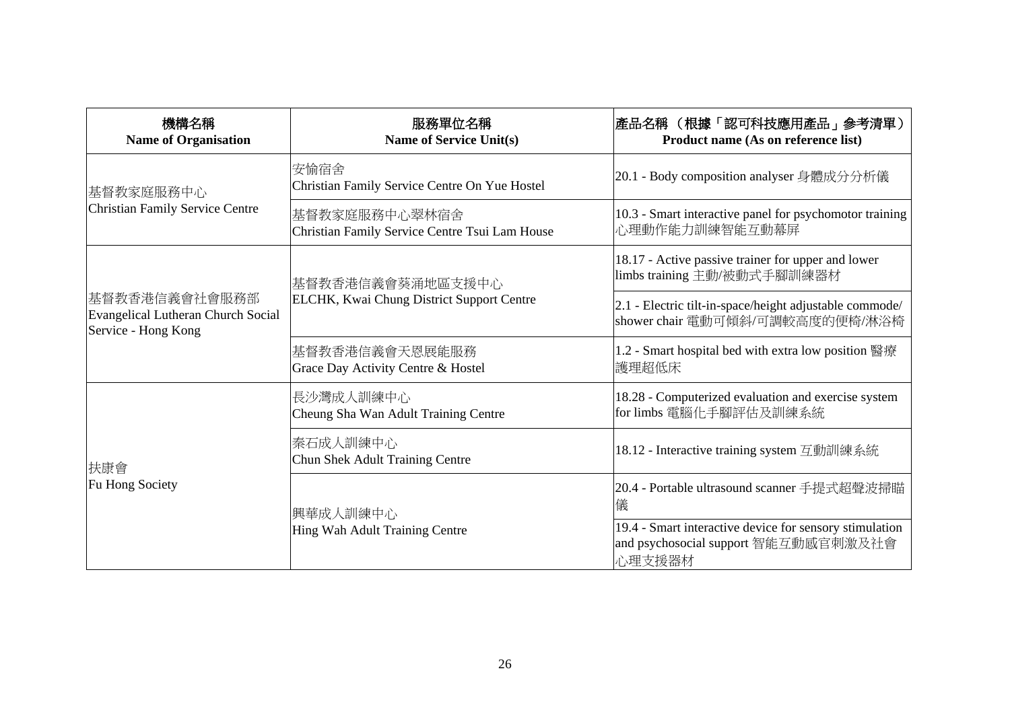| 機構名稱<br><b>Name of Organisation</b>                                               | 服務單位名稱<br><b>Name of Service Unit(s)</b>                        | 產品名稱 (根據「認可科技應用產品」參考清單)<br>Product name (As on reference list)                                            |
|-----------------------------------------------------------------------------------|-----------------------------------------------------------------|-----------------------------------------------------------------------------------------------------------|
| 基督教家庭服務中心<br><b>Christian Family Service Centre</b>                               | 安愉宿舍<br>Christian Family Service Centre On Yue Hostel           | 20.1 - Body composition analyser 身體成分分析儀                                                                  |
|                                                                                   | 基督教家庭服務中心翠林宿舍<br>Christian Family Service Centre Tsui Lam House | 10.3 - Smart interactive panel for psychomotor training<br>心理動作能力訓練智能互動幕屏                                 |
| 基督教香港信義會社會服務部<br><b>Evangelical Lutheran Church Social</b><br>Service - Hong Kong | 基督教香港信義會葵涌地區支援中心<br>ELCHK, Kwai Chung District Support Centre   | 18.17 - Active passive trainer for upper and lower<br>limbs training 主動/被動式手腳訓練器材                         |
|                                                                                   |                                                                 | 2.1 - Electric tilt-in-space/height adjustable commode/<br>shower chair 電動可傾斜/可調較高度的便椅/淋浴椅                |
|                                                                                   | 基督教香港信義會天恩展能服務<br>Grace Day Activity Centre & Hostel            | 1.2 - Smart hospital bed with extra low position 醫療<br>護理超低床                                              |
| 扶康會<br>Fu Hong Society                                                            | 長沙灣成人訓練中心<br>Cheung Sha Wan Adult Training Centre               | 18.28 - Computerized evaluation and exercise system<br>for limbs 電腦化手腳評估及訓練系統                             |
|                                                                                   | 秦石成人訓練中心<br><b>Chun Shek Adult Training Centre</b>              | 18.12 - Interactive training system 互動訓練系統                                                                |
|                                                                                   | 興華成人訓練中心<br>Hing Wah Adult Training Centre                      | 20.4 - Portable ultrasound scanner 手提式超聲波掃瞄<br>儀                                                          |
|                                                                                   |                                                                 | 19.4 - Smart interactive device for sensory stimulation<br>and psychosocial support 智能互動感官刺激及社會<br>心理支援器材 |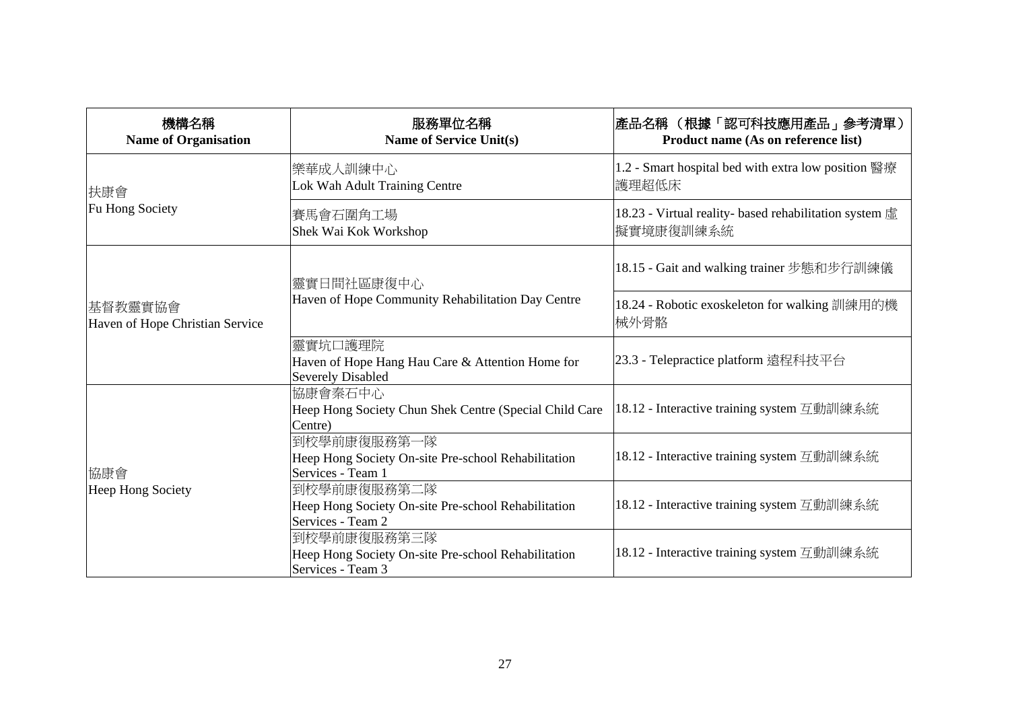| 機構名稱<br><b>Name of Organisation</b>        | 服務單位名稱<br><b>Name of Service Unit(s)</b>                                                | 產品名稱 (根據「認可科技應用產品」參考清單)<br>Product name (As on reference list)      |
|--------------------------------------------|-----------------------------------------------------------------------------------------|---------------------------------------------------------------------|
| 扶康會                                        | 樂華成人訓練中心<br>Lok Wah Adult Training Centre                                               | 1.2 - Smart hospital bed with extra low position 醫療<br>護理超低床        |
| Fu Hong Society                            | 賽馬會石圍角工場<br>Shek Wai Kok Workshop                                                       | 18.23 - Virtual reality- based rehabilitation system 虛<br>擬實境康復訓練系統 |
| 基督教靈實協會<br>Haven of Hope Christian Service | 靈實日間社區康復中心<br>Haven of Hope Community Rehabilitation Day Centre                         | 18.15 - Gait and walking trainer 步態和步行訓練儀                           |
|                                            |                                                                                         | 18.24 - Robotic exoskeleton for walking 訓練用的機<br>械外骨骼               |
|                                            | 靈實坑口護理院<br>Haven of Hope Hang Hau Care & Attention Home for<br><b>Severely Disabled</b> | 23.3 - Telepractice platform 遠程科技平台                                 |
| 協康會<br>Heep Hong Society                   | 協康會秦石中心<br>Heep Hong Society Chun Shek Centre (Special Child Care<br>Centre)            | 18.12 - Interactive training system 互動訓練系統                          |
|                                            | 到校學前康復服務第一隊<br>Heep Hong Society On-site Pre-school Rehabilitation<br>Services - Team 1 | 18.12 - Interactive training system 互動訓練系統                          |
|                                            | 到校學前康復服務第二隊<br>Heep Hong Society On-site Pre-school Rehabilitation<br>Services - Team 2 | 18.12 - Interactive training system 互動訓練系統                          |
|                                            | 到校學前康復服務第三隊<br>Heep Hong Society On-site Pre-school Rehabilitation<br>Services - Team 3 | 18.12 - Interactive training system 互動訓練系統                          |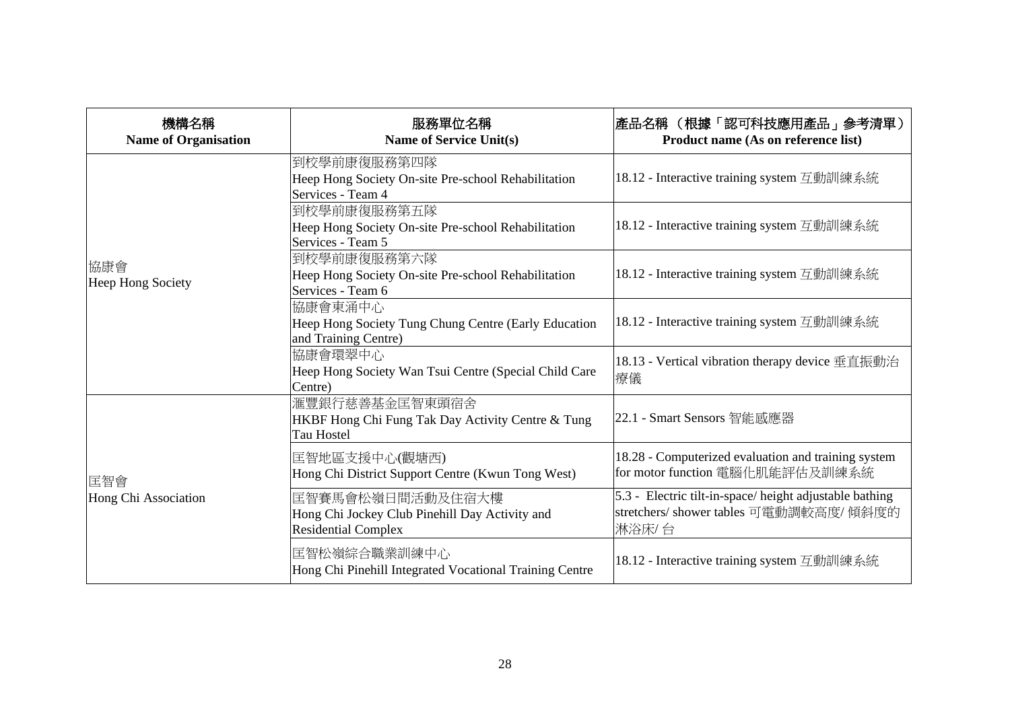| 機構名稱<br><b>Name of Organisation</b> | 服務單位名稱<br><b>Name of Service Unit(s)</b>                                                         | 產品名稱 (根據「認可科技應用產品」參考清單)<br>Product name (As on reference list)                                             |
|-------------------------------------|--------------------------------------------------------------------------------------------------|------------------------------------------------------------------------------------------------------------|
|                                     | 到校學前康復服務第四隊<br>Heep Hong Society On-site Pre-school Rehabilitation<br>Services - Team 4          | 18.12 - Interactive training system 互動訓練系統                                                                 |
|                                     | 到校學前康復服務第五隊<br>Heep Hong Society On-site Pre-school Rehabilitation<br>Services - Team 5          | 18.12 - Interactive training system 互動訓練系統                                                                 |
| 協康會<br>Heep Hong Society            | 到校學前康復服務第六隊<br>Heep Hong Society On-site Pre-school Rehabilitation<br>Services - Team 6          | 18.12 - Interactive training system 互動訓練系統                                                                 |
|                                     | 協康會東涌中心<br>Heep Hong Society Tung Chung Centre (Early Education<br>and Training Centre)          | 18.12 - Interactive training system 互動訓練系統                                                                 |
|                                     | 協康會環翠中心<br>Heep Hong Society Wan Tsui Centre (Special Child Care<br>Centre)                      | 18.13 - Vertical vibration therapy device 垂直振動治<br>療儀                                                      |
| 匡智會<br>Hong Chi Association         | 滙豐銀行慈善基金匡智東頭宿舍<br>HKBF Hong Chi Fung Tak Day Activity Centre & Tung<br>Tau Hostel                | 22.1 - Smart Sensors 智能感應器                                                                                 |
|                                     | 匡智地區支援中心(觀塘西)<br>Hong Chi District Support Centre (Kwun Tong West)                               | 18.28 - Computerized evaluation and training system<br>for motor function 電腦化肌能評估及訓練系統                     |
|                                     | 匡智賽馬會松嶺日間活動及住宿大樓<br>Hong Chi Jockey Club Pinehill Day Activity and<br><b>Residential Complex</b> | 5.3 - Electric tilt-in-space/height adjustable bathing<br>stretchers/ shower tables 可電動調較高度/傾斜度的<br>淋浴床/ 台 |
|                                     | 匡智松嶺綜合職業訓練中心<br>Hong Chi Pinehill Integrated Vocational Training Centre                          | 18.12 - Interactive training system 互動訓練系統                                                                 |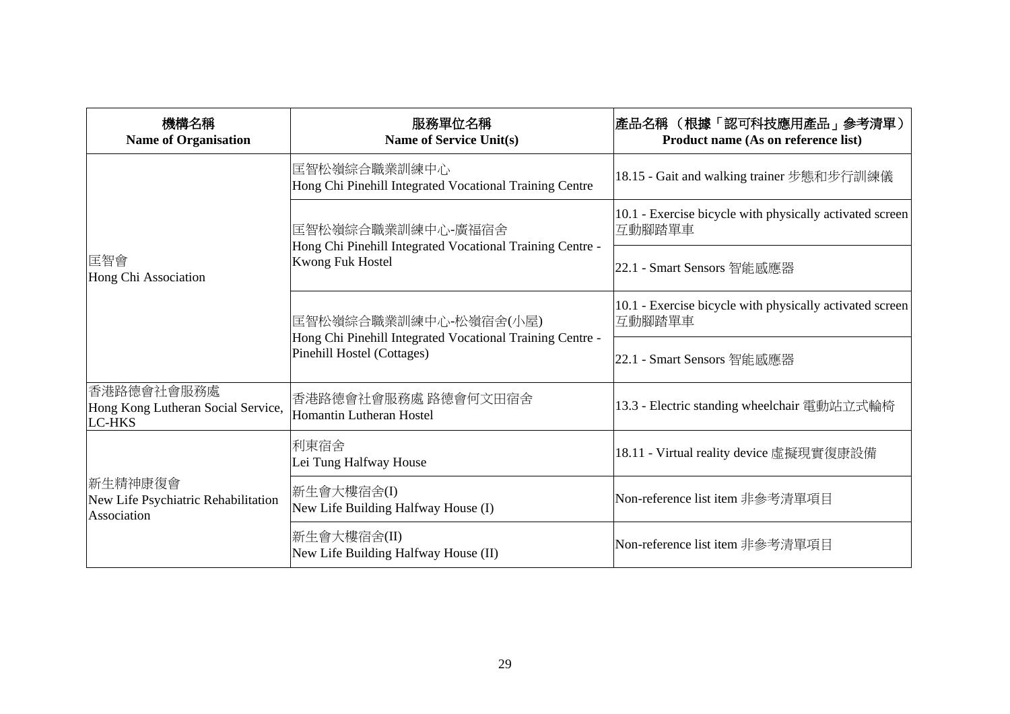| 機構名稱<br><b>Name of Organisation</b>                               | 服務單位名稱<br><b>Name of Service Unit(s)</b>                                                                         | 產品名稱 (根據「認可科技應用產品」參考清單)<br>Product name (As on reference list)     |
|-------------------------------------------------------------------|------------------------------------------------------------------------------------------------------------------|--------------------------------------------------------------------|
|                                                                   | 匡智松嶺綜合職業訓練中心<br>Hong Chi Pinehill Integrated Vocational Training Centre                                          | 18.15 - Gait and walking trainer 步態和步行訓練儀                          |
|                                                                   | 匡智松嶺綜合職業訓練中心-廣福宿舍<br>Hong Chi Pinehill Integrated Vocational Training Centre -<br><b>Kwong Fuk Hostel</b>        | 10.1 - Exercise bicycle with physically activated screen<br>互動腳踏單車 |
| 匡智會<br>Hong Chi Association                                       |                                                                                                                  | 22.1 - Smart Sensors 智能感應器                                         |
|                                                                   | 匡智松嶺綜合職業訓練中心-松嶺宿舍(小屋)<br>Hong Chi Pinehill Integrated Vocational Training Centre -<br>Pinehill Hostel (Cottages) | 10.1 - Exercise bicycle with physically activated screen<br>互動腳踏單車 |
|                                                                   |                                                                                                                  | 22.1 - Smart Sensors 智能感應器                                         |
| 香港路德會社會服務處<br>Hong Kong Lutheran Social Service,<br><b>LC-HKS</b> | 香港路德會社會服務處 路德會何文田宿舍<br>Homantin Lutheran Hostel                                                                  | 13.3 - Electric standing wheelchair 電動站立式輪椅                        |
| 新生精神康復會<br>New Life Psychiatric Rehabilitation<br>Association     | 利東宿舍<br>Lei Tung Halfway House                                                                                   | 18.11 - Virtual reality device 虛擬現實復康設備                            |
|                                                                   | 新生會大樓宿舍(I)<br>New Life Building Halfway House (I)                                                                | Non-reference list item 非參考清單項目                                    |
|                                                                   | 新生會大樓宿舍(II)<br>New Life Building Halfway House (II)                                                              | Non-reference list item 非參考清單項目                                    |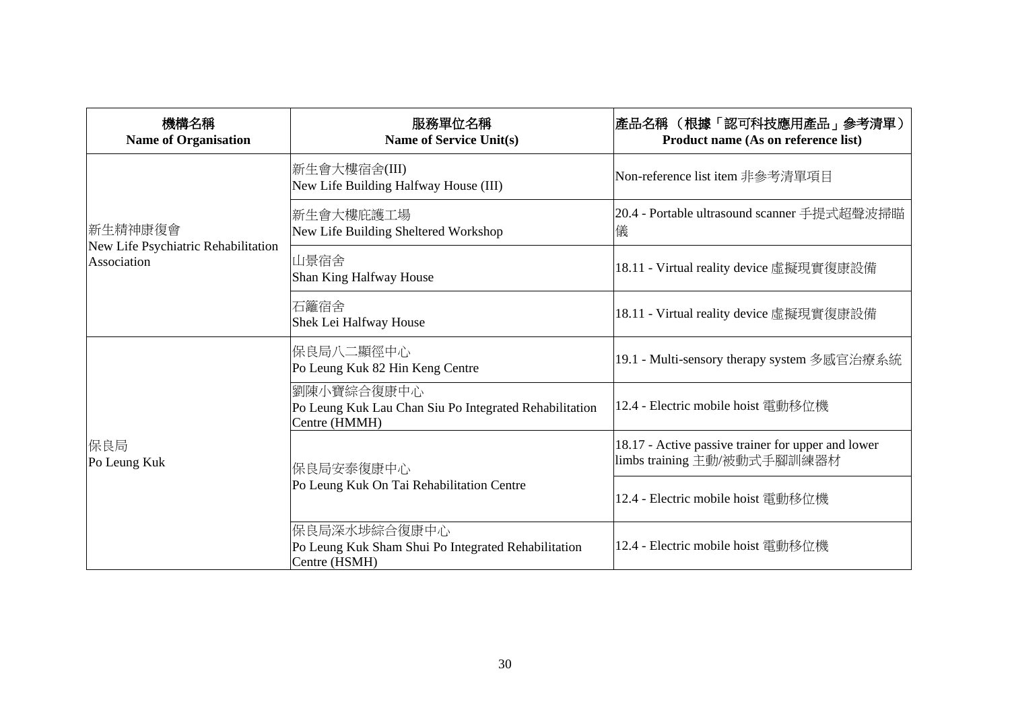| 機構名稱<br><b>Name of Organisation</b>                | 服務單位名稱<br><b>Name of Service Unit(s)</b>                                              | 產品名稱 (根據「認可科技應用產品」參考清單)<br>Product name (As on reference list)                    |
|----------------------------------------------------|---------------------------------------------------------------------------------------|-----------------------------------------------------------------------------------|
| 新生精神康復會                                            | 新生會大樓宿舍(III)<br>New Life Building Halfway House (III)                                 | Non-reference list item 非參考清單項目                                                   |
|                                                    | 新生會大樓庇護工場<br>New Life Building Sheltered Workshop                                     | 20.4 - Portable ultrasound scanner 手提式超聲波掃瞄<br>儀                                  |
| New Life Psychiatric Rehabilitation<br>Association | 山景宿舍<br>Shan King Halfway House                                                       | 18.11 - Virtual reality device 虛擬現實復康設備                                           |
|                                                    | 石籬宿舍<br>Shek Lei Halfway House                                                        | 18.11 - Virtual reality device 虛擬現實復康設備                                           |
| 保良局<br>Po Leung Kuk                                | 保良局八二顯徑中心<br>Po Leung Kuk 82 Hin Keng Centre                                          | 19.1 - Multi-sensory therapy system 多感官治療系統                                       |
|                                                    | 劉陳小寶綜合復康中心<br>Po Leung Kuk Lau Chan Siu Po Integrated Rehabilitation<br>Centre (HMMH) | 12.4 - Electric mobile hoist 電動移位機                                                |
|                                                    | 保良局安泰復康中心<br>Po Leung Kuk On Tai Rehabilitation Centre                                | 18.17 - Active passive trainer for upper and lower<br>limbs training 主動/被動式手腳訓練器材 |
|                                                    |                                                                                       | 12.4 - Electric mobile hoist 電動移位機                                                |
|                                                    | 保良局深水埗綜合復康中心<br>Po Leung Kuk Sham Shui Po Integrated Rehabilitation<br>Centre (HSMH)  | 12.4 - Electric mobile hoist 電動移位機                                                |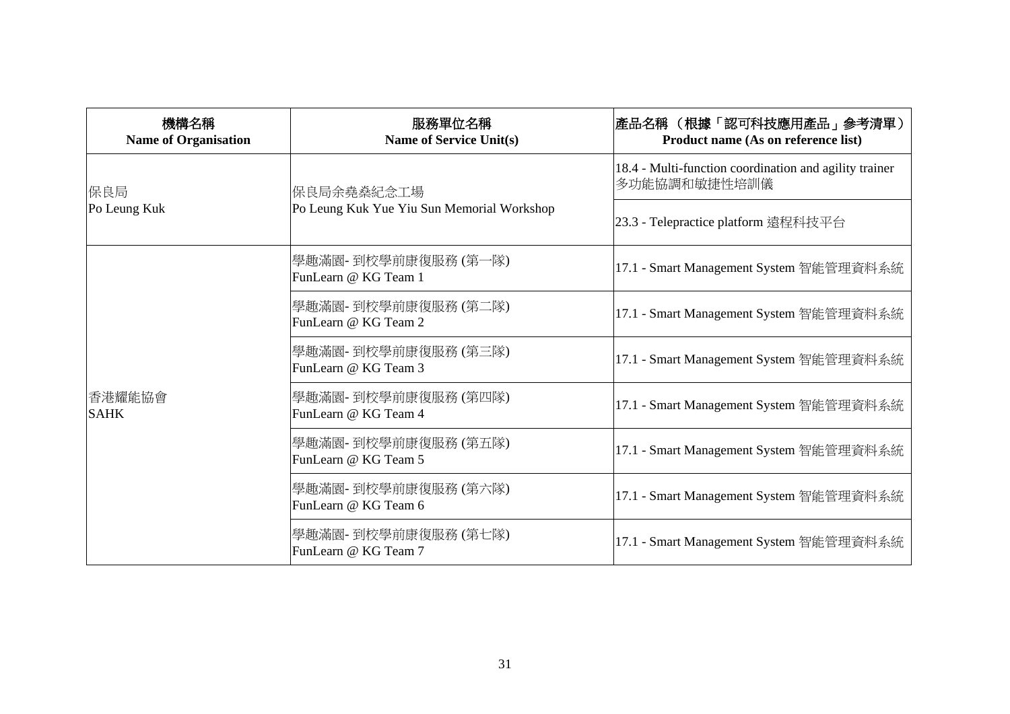| 機構名稱<br><b>Name of Organisation</b> | 服務單位名稱<br><b>Name of Service Unit(s)</b>                  | 產品名稱 (根據「認可科技應用產品」參考清單)<br>Product name (As on reference list)         |
|-------------------------------------|-----------------------------------------------------------|------------------------------------------------------------------------|
| 保良局                                 | 保良局余堯燊紀念工場 <br>Po Leung Kuk Yue Yiu Sun Memorial Workshop | 18.4 - Multi-function coordination and agility trainer<br>多功能協調和敏捷性培訓儀 |
| Po Leung Kuk                        |                                                           | 23.3 - Telepractice platform 遠程科技平台                                    |
| 香港耀能協會<br><b>SAHK</b>               | 學趣滿園- 到校學前康復服務 (第一隊)<br>FunLearn @ KG Team 1              | 17.1 - Smart Management System 智能管理資料系統                                |
|                                     | 學趣滿園- 到校學前康復服務 (第二隊) <br>FunLearn @ KG Team 2             | 17.1 - Smart Management System 智能管理資料系統                                |
|                                     | 學趣滿園- 到校學前康復服務 (第三隊)<br>FunLearn @ KG Team 3              | 17.1 - Smart Management System 智能管理資料系統                                |
|                                     | 學趣滿園- 到校學前康復服務 (第四隊)<br>FunLearn @ KG Team 4              | 17.1 - Smart Management System 智能管理資料系統                                |
|                                     | 學趣滿園- 到校學前康復服務 (第五隊)<br>FunLearn @ KG Team 5              | 17.1 - Smart Management System 智能管理資料系統                                |
|                                     | 學趣滿園-到校學前康復服務 (第六隊)<br>FunLearn @ KG Team 6               | 17.1 - Smart Management System 智能管理資料系統                                |
|                                     | 學趣滿園-到校學前康復服務 (第七隊)<br>FunLearn @ KG Team 7               | 17.1 - Smart Management System 智能管理資料系統                                |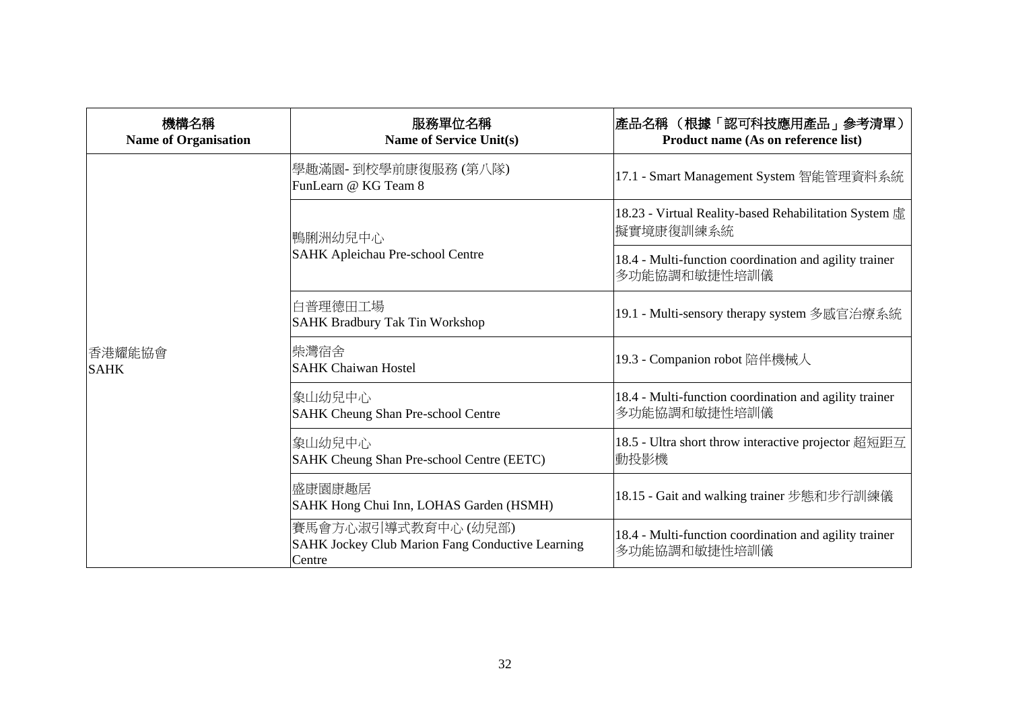| 機構名稱<br><b>Name of Organisation</b> | 服務單位名稱<br><b>Name of Service Unit(s)</b>                                                 | 產品名稱 (根據「認可科技應用產品」參考清單)<br>Product name (As on reference list)         |
|-------------------------------------|------------------------------------------------------------------------------------------|------------------------------------------------------------------------|
|                                     | 學趣滿園- 到校學前康復服務 (第八隊)<br>FunLearn @ KG Team 8                                             | 17.1 - Smart Management System 智能管理資料系統                                |
|                                     | 鴨脷洲幼兒中心<br>SAHK Apleichau Pre-school Centre                                              | 18.23 - Virtual Reality-based Rehabilitation System 虛<br>擬實境康復訓練系統     |
|                                     |                                                                                          | 18.4 - Multi-function coordination and agility trainer<br>多功能協調和敏捷性培訓儀 |
| 香港耀能協會<br><b>SAHK</b>               | 白普理德田工場<br><b>SAHK Bradbury Tak Tin Workshop</b>                                         | 19.1 - Multi-sensory therapy system 多感官治療系統                            |
|                                     | 柴灣宿舍<br><b>SAHK Chaiwan Hostel</b>                                                       | 19.3 - Companion robot 陪伴機械人                                           |
|                                     | 象山幼兒中心<br>SAHK Cheung Shan Pre-school Centre                                             | 18.4 - Multi-function coordination and agility trainer<br>多功能協調和敏捷性培訓儀 |
|                                     | 象山幼兒中心<br>SAHK Cheung Shan Pre-school Centre (EETC)                                      | 18.5 - Ultra short throw interactive projector 超短距互<br>動投影機            |
|                                     | 盛康園康趣居<br>SAHK Hong Chui Inn, LOHAS Garden (HSMH)                                        | 18.15 - Gait and walking trainer 步態和步行訓練儀                              |
|                                     | 賽馬會方心淑引導式教育中心 (幼兒部)<br><b>SAHK Jockey Club Marion Fang Conductive Learning</b><br>Centre | 18.4 - Multi-function coordination and agility trainer<br>多功能協調和敏捷性培訓儀 |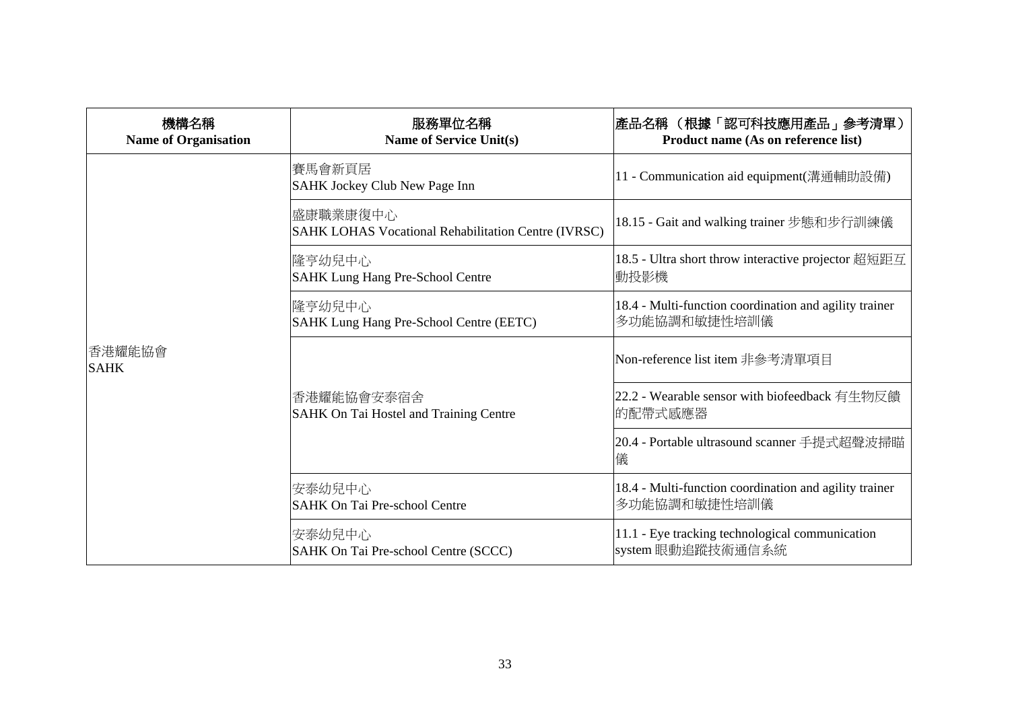| 機構名稱<br><b>Name of Organisation</b> | 服務單位名稱<br><b>Name of Service Unit(s)</b>                               | 產品名稱 (根據「認可科技應用產品」參考清單)<br>Product name (As on reference list)         |
|-------------------------------------|------------------------------------------------------------------------|------------------------------------------------------------------------|
|                                     | 賽馬會新頁居<br>SAHK Jockey Club New Page Inn                                | 11 - Communication aid equipment(溝通輔助設備)                               |
|                                     | 盛康職業康復中心<br><b>SAHK LOHAS Vocational Rehabilitation Centre (IVRSC)</b> | 18.15 - Gait and walking trainer 步態和步行訓練儀                              |
|                                     | 隆亨幼兒中心<br><b>SAHK Lung Hang Pre-School Centre</b>                      | 18.5 - Ultra short throw interactive projector 超短距互<br>動投影機            |
|                                     | 隆亨幼兒中心<br>SAHK Lung Hang Pre-School Centre (EETC)                      | 18.4 - Multi-function coordination and agility trainer<br>多功能協調和敏捷性培訓儀 |
| 香港耀能協會<br><b>SAHK</b>               |                                                                        | Non-reference list item 非參考清單項目                                        |
|                                     | 香港耀能協會安泰宿舍<br>SAHK On Tai Hostel and Training Centre                   | 22.2 - Wearable sensor with biofeedback 有生物反饋<br>的配帶式感應器               |
|                                     |                                                                        | 20.4 - Portable ultrasound scanner 手提式超聲波掃瞄<br>儀                       |
|                                     | 安泰幼兒中心<br><b>SAHK On Tai Pre-school Centre</b>                         | 18.4 - Multi-function coordination and agility trainer<br>多功能協調和敏捷性培訓儀 |
|                                     | 安泰幼兒中心<br>SAHK On Tai Pre-school Centre (SCCC)                         | 11.1 - Eye tracking technological communication<br>system 眼動追蹤技術通信系統   |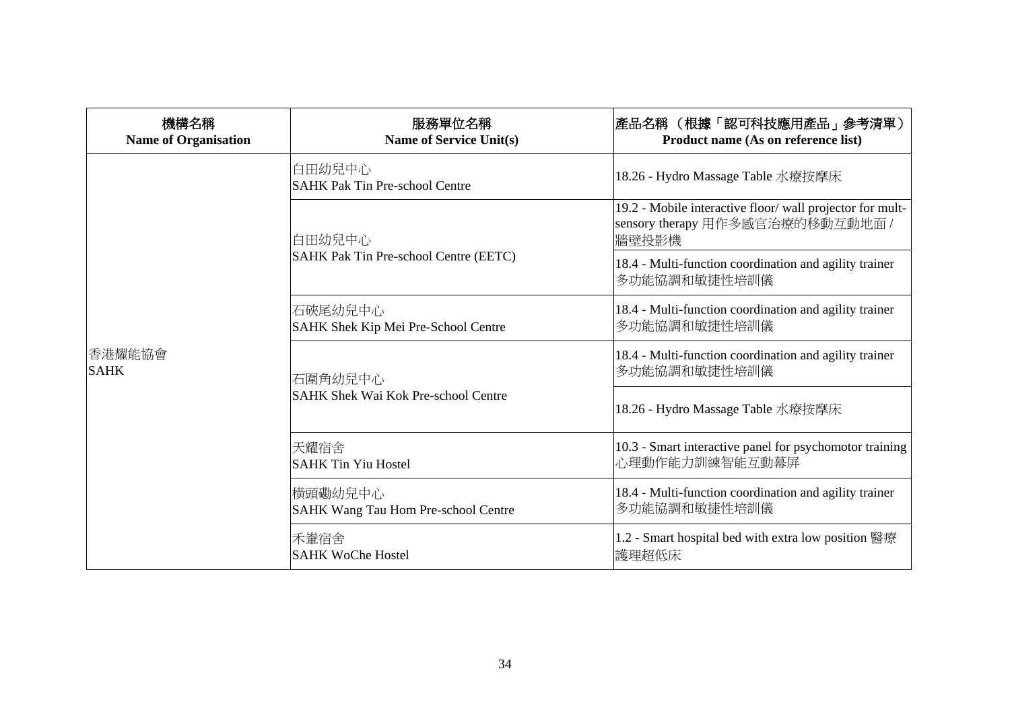| 機構名稱<br><b>Name of Organisation</b> | 服務單位名稱<br><b>Name of Service Unit(s)</b>              | 產品名稱 (根據「認可科技應用產品」參考清單)<br>Product name (As on reference list)                                        |
|-------------------------------------|-------------------------------------------------------|-------------------------------------------------------------------------------------------------------|
| 香港耀能協會<br><b>SAHK</b>               | 白田幼兒中心<br><b>SAHK Pak Tin Pre-school Centre</b>       | 18.26 - Hydro Massage Table 水療按摩床                                                                     |
|                                     | 白田幼兒中心<br>SAHK Pak Tin Pre-school Centre (EETC)       | 19.2 - Mobile interactive floor/wall projector for mult-<br>sensory therapy 用作多感官治療的移動互動地面 /<br>牆壁投影機 |
|                                     |                                                       | 18.4 - Multi-function coordination and agility trainer<br>多功能協調和敏捷性培訓儀                                |
|                                     | 石硤尾幼兒中心<br>SAHK Shek Kip Mei Pre-School Centre        | 18.4 - Multi-function coordination and agility trainer<br>多功能協調和敏捷性培訓儀                                |
|                                     | 石圍角幼兒中心<br><b>SAHK Shek Wai Kok Pre-school Centre</b> | 18.4 - Multi-function coordination and agility trainer<br>多功能協調和敏捷性培訓儀                                |
|                                     |                                                       | 18.26 - Hydro Massage Table 水療按摩床                                                                     |
|                                     | 天耀宿舍<br><b>SAHK Tin Yiu Hostel</b>                    | 10.3 - Smart interactive panel for psychomotor training<br>心理動作能力訓練智能互動幕屏                             |
|                                     | 横頭磡幼兒中心<br>SAHK Wang Tau Hom Pre-school Centre        | 18.4 - Multi-function coordination and agility trainer<br>多功能協調和敏捷性培訓儀                                |
|                                     | 禾輋宿舍<br><b>SAHK WoChe Hostel</b>                      | 1.2 - Smart hospital bed with extra low position 醫療<br>護理超低床                                          |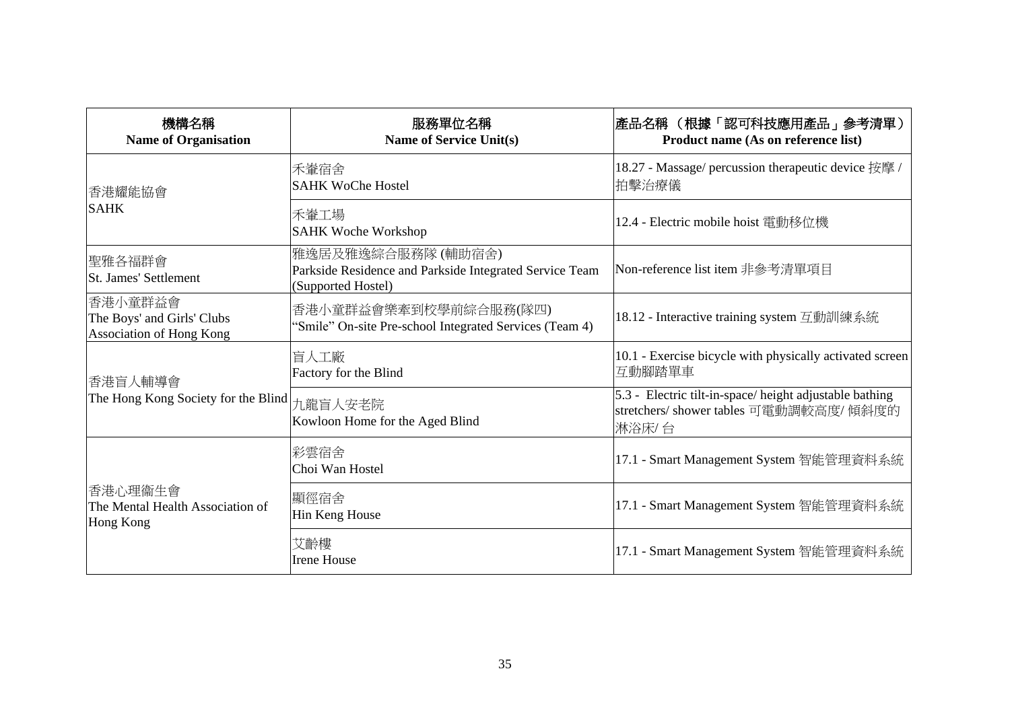| 機構名稱<br><b>Name of Organisation</b>                                      | 服務單位名稱<br><b>Name of Service Unit(s)</b>                                                            | 產品名稱 (根據「認可科技應用產品」參考清單)<br>Product name (As on reference list)                                            |
|--------------------------------------------------------------------------|-----------------------------------------------------------------------------------------------------|-----------------------------------------------------------------------------------------------------------|
| 香港耀能協會<br><b>SAHK</b>                                                    | 禾輋宿舍<br><b>SAHK WoChe Hostel</b>                                                                    | 18.27 - Massage/ percussion therapeutic device 按摩 /<br>拍擊治療儀                                              |
|                                                                          | 禾輋工場<br><b>SAHK Woche Workshop</b>                                                                  | 12.4 - Electric mobile hoist 電動移位機                                                                        |
| 聖雅各福群會<br><b>St. James' Settlement</b>                                   | 雅逸居及雅逸綜合服務隊 (輔助宿舍)<br>Parkside Residence and Parkside Integrated Service Team<br>(Supported Hostel) | Non-reference list item 非參考清單項目                                                                           |
| 香港小童群益會<br>The Boys' and Girls' Clubs<br><b>Association of Hong Kong</b> | 香港小童群益會樂牽到校學前綜合服務(隊四)<br>'Smile'' On-site Pre-school Integrated Services (Team 4)                   | 18.12 - Interactive training system 互動訓練系統                                                                |
| 香港盲人輔導會<br>The Hong Kong Society for the Blind                           | 盲人工廠<br>Factory for the Blind                                                                       | 10.1 - Exercise bicycle with physically activated screen<br>互動腳踏單車                                        |
|                                                                          | 九龍盲人安老院<br>Kowloon Home for the Aged Blind                                                          | 5.3 - Electric tilt-in-space/height adjustable bathing<br>stretchers/ shower tables 可電動調較高度/傾斜度的<br>淋浴床/台 |
| 香港心理衞生會<br>The Mental Health Association of<br>Hong Kong                 | 彩雲宿舍<br>Choi Wan Hostel                                                                             | 17.1 - Smart Management System 智能管理資料系統                                                                   |
|                                                                          | 顯徑宿舍<br>Hin Keng House                                                                              | 17.1 - Smart Management System 智能管理資料系統                                                                   |
|                                                                          | 艾齡樓<br><b>Irene House</b>                                                                           | 17.1 - Smart Management System 智能管理資料系統                                                                   |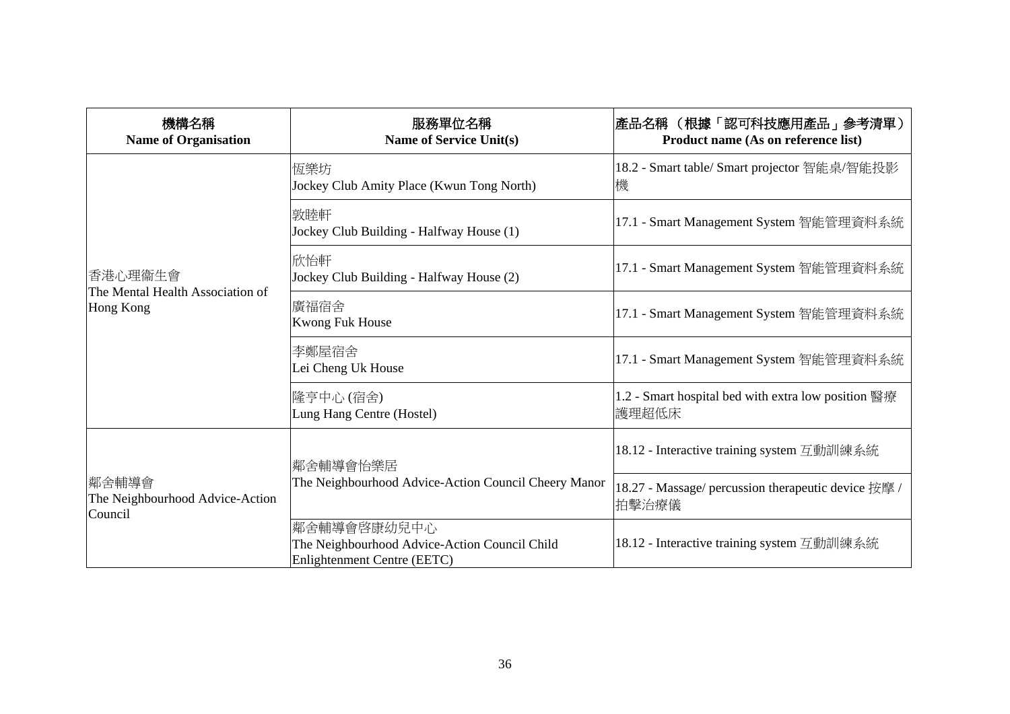| 機構名稱<br><b>Name of Organisation</b>                      | 服務單位名稱<br><b>Name of Service Unit(s)</b>                                                    | 產品名稱 (根據「認可科技應用產品」參考清單)<br>Product name (As on reference list) |
|----------------------------------------------------------|---------------------------------------------------------------------------------------------|----------------------------------------------------------------|
| 香港心理衞生會<br>The Mental Health Association of<br>Hong Kong | 恆樂坊<br>Jockey Club Amity Place (Kwun Tong North)                                            | 18.2 - Smart table/ Smart projector 智能桌/智能投影<br>機              |
|                                                          | 敦睦軒<br>Jockey Club Building - Halfway House (1)                                             | 17.1 - Smart Management System 智能管理資料系統                        |
|                                                          | 欣怡軒<br>Jockey Club Building - Halfway House (2)                                             | 17.1 - Smart Management System 智能管理資料系統                        |
|                                                          | 廣福宿舍<br><b>Kwong Fuk House</b>                                                              | 17.1 - Smart Management System 智能管理資料系統                        |
|                                                          | 李鄭屋宿舍<br>Lei Cheng Uk House                                                                 | 17.1 - Smart Management System 智能管理資料系統                        |
|                                                          | 隆亨中心 (宿舍)<br>Lung Hang Centre (Hostel)                                                      | 1.2 - Smart hospital bed with extra low position 醫療<br>護理超低床   |
| 鄰舍輔導會 <br>The Neighbourhood Advice-Action<br>Council     | 鄰舍輔導會怡樂居 <br>The Neighbourhood Advice-Action Council Cheery Manor                           | 18.12 - Interactive training system 互動訓練系統                     |
|                                                          |                                                                                             | 18.27 - Massage/ percussion therapeutic device 按摩 /<br>拍擊治療儀   |
|                                                          | 鄰舍輔導會啓康幼兒中心<br>The Neighbourhood Advice-Action Council Child<br>Enlightenment Centre (EETC) | 18.12 - Interactive training system 互動訓練系統                     |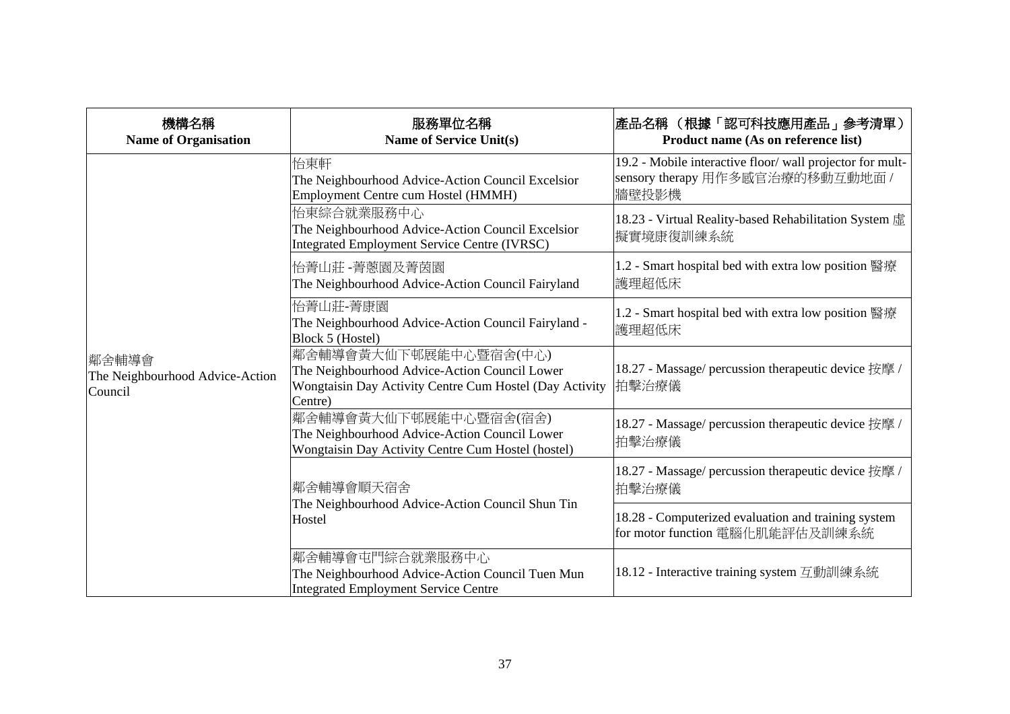| 機構名稱<br><b>Name of Organisation</b>                 | 服務單位名稱<br><b>Name of Service Unit(s)</b>                                                                                                     | 產品名稱 (根據「認可科技應用產品」參考清單)<br>Product name (As on reference list)                                         |
|-----------------------------------------------------|----------------------------------------------------------------------------------------------------------------------------------------------|--------------------------------------------------------------------------------------------------------|
| 鄰舍輔導會<br>The Neighbourhood Advice-Action<br>Council | 怡東軒<br>The Neighbourhood Advice-Action Council Excelsior<br>Employment Centre cum Hostel (HMMH)                                              | 19.2 - Mobile interactive floor/ wall projector for mult-<br>sensory therapy 用作多感官治療的移動互動地面 /<br>牆壁投影機 |
|                                                     | 怡東綜合就業服務中心<br>The Neighbourhood Advice-Action Council Excelsior<br>Integrated Employment Service Centre (IVRSC)                              | 18.23 - Virtual Reality-based Rehabilitation System 虛<br>擬實境康復訓練系統                                     |
|                                                     | 怡菁山莊 -菁蔥園及菁茵園<br>The Neighbourhood Advice-Action Council Fairyland                                                                           | 1.2 - Smart hospital bed with extra low position 醫療<br>護理超低床                                           |
|                                                     | 怡菁山莊-菁康園<br>The Neighbourhood Advice-Action Council Fairyland -<br>Block 5 (Hostel)                                                          | 1.2 - Smart hospital bed with extra low position 醫療<br>護理超低床                                           |
|                                                     | 鄰舍輔導會黃大仙下邨展能中心暨宿舍(中心)<br>The Neighbourhood Advice-Action Council Lower<br>Wongtaisin Day Activity Centre Cum Hostel (Day Activity<br>Centre) | 18.27 - Massage/ percussion therapeutic device 按摩 /<br>拍擊治療儀                                           |
|                                                     | 鄰舍輔導會黃大仙下邨展能中心暨宿舍(宿舍)<br>The Neighbourhood Advice-Action Council Lower<br>Wongtaisin Day Activity Centre Cum Hostel (hostel)                 | 18.27 - Massage/ percussion therapeutic device 按摩 /<br>拍擊治療儀                                           |
|                                                     | 鄰舍輔導會順天宿舍<br>The Neighbourhood Advice-Action Council Shun Tin<br>Hostel                                                                      | 18.27 - Massage/ percussion therapeutic device 按摩 /<br>拍擊治療儀                                           |
|                                                     |                                                                                                                                              | 18.28 - Computerized evaluation and training system<br>for motor function 電腦化肌能評估及訓練系統                 |
|                                                     | 鄰舍輔導會屯門綜合就業服務中心<br>The Neighbourhood Advice-Action Council Tuen Mun<br>Integrated Employment Service Centre                                  | 18.12 - Interactive training system 互動訓練系統                                                             |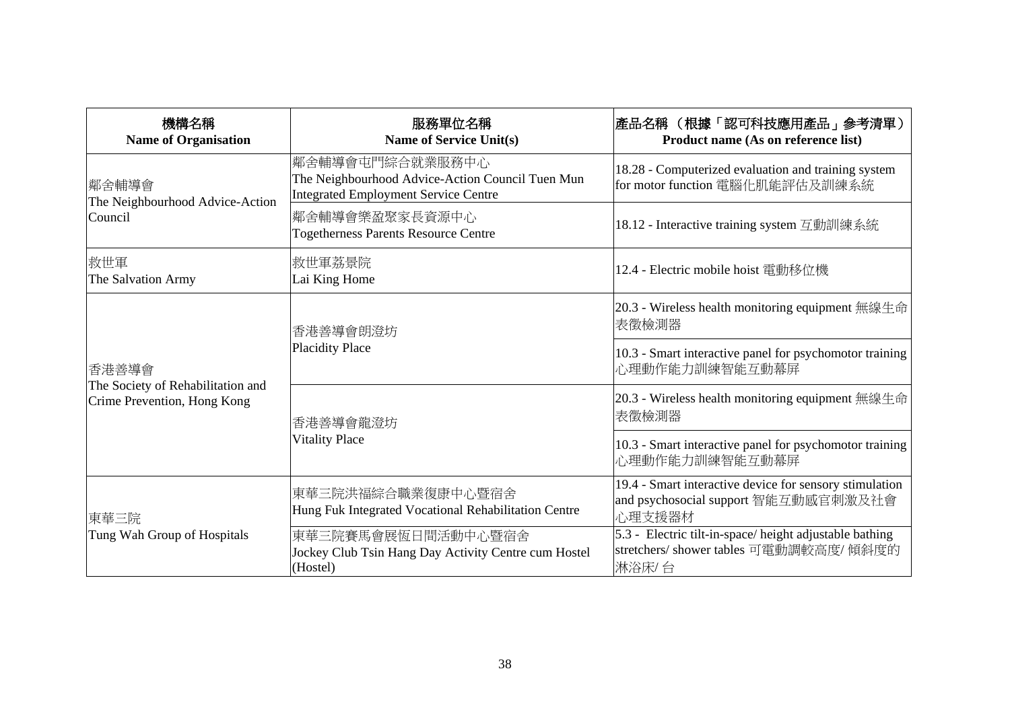| 機構名稱<br><b>Name of Organisation</b>                                       | 服務單位名稱<br><b>Name of Service Unit(s)</b>                                                                    | 產品名稱 (根據「認可科技應用產品」參考清單)<br>Product name (As on reference list)                                             |
|---------------------------------------------------------------------------|-------------------------------------------------------------------------------------------------------------|------------------------------------------------------------------------------------------------------------|
| 鄰舍輔導會 <br>The Neighbourhood Advice-Action<br>Council                      | 鄰舍輔導會屯門綜合就業服務中心<br>The Neighbourhood Advice-Action Council Tuen Mun<br>Integrated Employment Service Centre | 18.28 - Computerized evaluation and training system<br>for motor function 電腦化肌能評估及訓練系統                     |
|                                                                           | 鄰舍輔導會樂盈聚家長資源中心<br>Togetherness Parents Resource Centre                                                      | 18.12 - Interactive training system 互動訓練系統                                                                 |
| 救世軍<br>The Salvation Army                                                 | 救世軍荔景院 <br>Lai King Home                                                                                    | 12.4 - Electric mobile hoist 電動移位機                                                                         |
| 香港善導會<br>The Society of Rehabilitation and<br>Crime Prevention, Hong Kong | 香港善導會朗澄坊<br><b>Placidity Place</b>                                                                          | 20.3 - Wireless health monitoring equipment 無線生命<br>表徵檢測器                                                  |
|                                                                           |                                                                                                             | 10.3 - Smart interactive panel for psychomotor training<br>心理動作能力訓練智能互動幕屏                                  |
|                                                                           | 香港善導會龍澄坊<br><b>Vitality Place</b>                                                                           | 20.3 - Wireless health monitoring equipment 無線生命<br>表徵檢測器                                                  |
|                                                                           |                                                                                                             | 10.3 - Smart interactive panel for psychomotor training<br>心理動作能力訓練智能互動幕屏                                  |
| 東華三院<br>Tung Wah Group of Hospitals                                       | 東華三院洪福綜合職業復康中心暨宿舍<br>Hung Fuk Integrated Vocational Rehabilitation Centre                                   | 19.4 - Smart interactive device for sensory stimulation<br>and psychosocial support 智能互動感官刺激及社會<br>心理支援器材  |
|                                                                           | 東華三院賽馬會展恆日間活動中心暨宿舍<br>Jockey Club Tsin Hang Day Activity Centre cum Hostel<br>(Hostel)                      | 5.3 - Electric tilt-in-space/height adjustable bathing<br>stretchers/ shower tables 可電動調較高度/ 傾斜度的<br>淋浴床/台 |